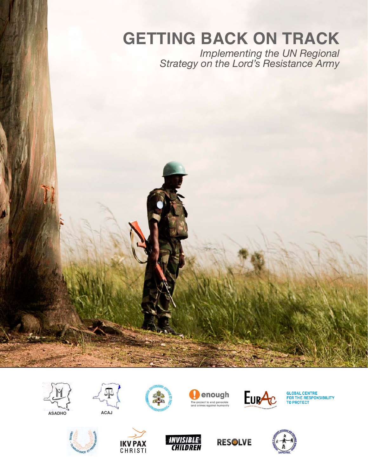# **GETTING BACK ON TRACK**

*Implementing the UN Regional Strategy on the Lord's Resistance Army*













**GLOBAL CENTRE<br>FOR THE RESPONSIBILITY<br>TO PROTECT** 









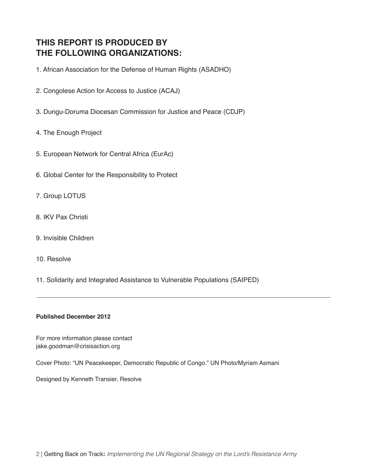# **THIS REPORT IS PRODUCED BY THE FOLLOWING ORGANIZATIONS:**

1. African Association for the Defense of Human Rights (ASADHO)

- 2. Congolese Action for Access to Justice (ACAJ)
- 3. Dungu-Doruma Diocesan Commission for Justice and Peace (CDJP)

## 4. The Enough Project

- 5. European Network for Central Africa (EurAc)
- 6. Global Center for the Responsibility to Protect
- 7. Group LOTUS
- 8. IKV Pax Christi
- 9. Invisible Children
- 10. Resolve
- 11. Solidarity and Integrated Assistance to Vulnerable Populations (SAIPED)

## **Published December 2012**

For more information please contact jake.goodman@crisisaction.org

Cover Photo: "UN Peacekeeper, Democratic Republic of Congo." UN Photo/Myriam Asmani

Designed by Kenneth Transier, Resolve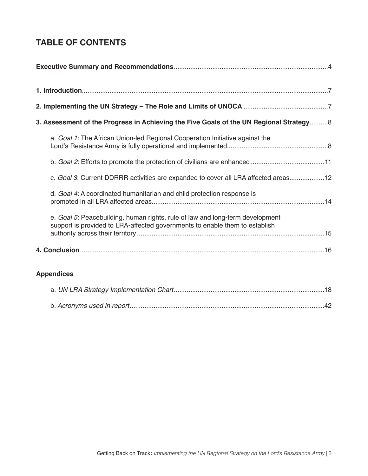# **TABLE OF CONTENTS**

| 3. Assessment of the Progress in Achieving the Five Goals of the UN Regional Strategy8                                                                       |  |
|--------------------------------------------------------------------------------------------------------------------------------------------------------------|--|
| a. Goal 1: The African Union-led Regional Cooperation Initiative against the                                                                                 |  |
|                                                                                                                                                              |  |
| c. Goal 3: Current DDRRR activities are expanded to cover all LRA affected areas12                                                                           |  |
| d. Goal 4: A coordinated humanitarian and child protection response is                                                                                       |  |
| e. Goal 5: Peacebuilding, human rights, rule of law and long-term development<br>support is provided to LRA-affected governments to enable them to establish |  |
|                                                                                                                                                              |  |
| <b>Appendices</b>                                                                                                                                            |  |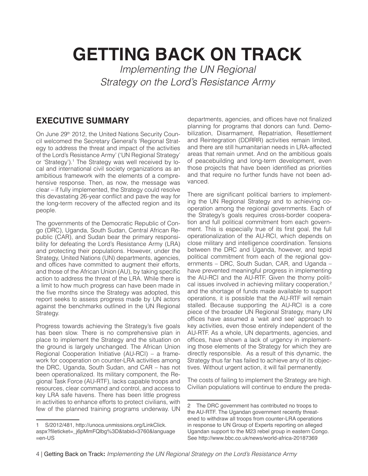# **GETTING BACK ON TRACK**

*Implementing the UN Regional Strategy on the Lord's Resistance Army*

# **EXECUTIVE SUMMARY**

On June 29<sup>th</sup> 2012, the United Nations Security Council welcomed the Secretary General's 'Regional Strategy to address the threat and impact of the activities of the Lord's Resistance Army' ('UN Regional Strategy' or 'Strategy').<sup>1</sup> The Strategy was well received by local and international civil society organizations as an ambitious framework with the elements of a comprehensive response. Then, as now, the message was clear – if fully implemented, the Strategy could resolve this devastating 26-year conflict and pave the way for the long-term recovery of the affected region and its people.

The governments of the Democratic Republic of Congo (DRC), Uganda, South Sudan, Central African Republic (CAR), and Sudan bear the primary responsibility for defeating the Lord's Resistance Army (LRA) and protecting their populations. However, under the Strategy, United Nations (UN) departments, agencies, and offices have committed to augment their efforts, and those of the African Union (AU), by taking specific action to address the threat of the LRA. While there is a limit to how much progress can have been made in the five months since the Strategy was adopted, this report seeks to assess progress made by UN actors against the benchmarks outlined in the UN Regional Strategy.

Progress towards achieving the Strategy's five goals has been slow. There is no comprehensive plan in place to implement the Strategy and the situation on the ground is largely unchanged. The African Union Regional Cooperation Initiative (AU-RCI) – a framework for cooperation on counter-LRA activities among the DRC, Uganda, South Sudan, and CAR – has not been operationalized. Its military component, the Regional Task Force (AU-RTF), lacks capable troops and resources, clear command and control, and access to key LRA safe havens. There has been little progress in activities to enhance efforts to protect civilians, with few of the planned training programs underway. UN

1 S/2012/481, http://unoca.unmissions.org/LinkClick. aspx?fileticket=\_j6pMmFQlbg%3D&tabid=3760&language  $=$ en-US

departments, agencies, and offices have not finalized planning for programs that donors can fund. Demobilization, Disarmament, Repatriation, Resettlement and Reintegration (DDRRR) activities remain limited, and there are still humanitarian needs in LRA-affected areas that remain unmet. And on the ambitious goals of peacebuilding and long-term development, even those projects that have been identified as priorities and that require no further funds have not been advanced.

There are significant political barriers to implementing the UN Regional Strategy and to achieving cooperation among the regional governments. Each of the Strategy's goals requires cross-border cooperation and full political commitment from each government. This is especially true of its first goal, the full operationalization of the AU-RCI, which depends on close military and intelligence coordination. Tensions between the DRC and Uganda, however, and tepid political commitment from each of the regional governments – DRC, South Sudan, CAR, and Uganda – have prevented meaningful progress in implementing the AU-RCI and the AU-RTF. Given the thorny political issues involved in achieving military cooperation,<sup>2</sup> and the shortage of funds made available to support operations, it is possible that the AU-RTF will remain stalled. Because supporting the AU-RCI is a core piece of the broader UN Regional Strategy, many UN offices have assumed a 'wait and see' approach to key activities, even those entirely independent of the AU-RTF. As a whole, UN departments, agencies, and offices, have shown a lack of urgency in implementing those elements of the Strategy for which they are directly responsible. As a result of this dynamic, the Strategy thus far has failed to achieve any of its objectives. Without urgent action, it will fail permanently.

The costs of failing to implement the Strategy are high. Civilian populations will continue to endure the preda-

<sup>2</sup> The DRC government has contributed no troops to the AU-RTF. The Ugandan government recently threatened to withdraw all troops from counter-LRA operations in response to UN Group of Experts reporting on alleged Ugandan support to the M23 rebel group in eastern Congo. See http://www.bbc.co.uk/news/world-africa-20187369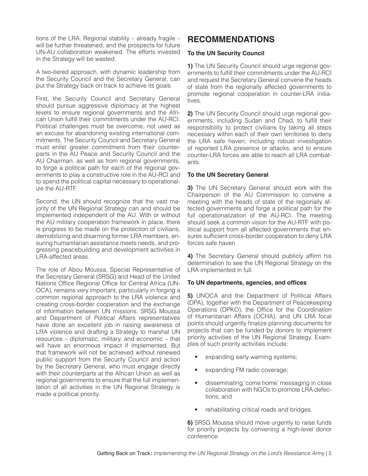tions of the LRA. Regional stability – already fragile – will be further threatened, and the prospects for future UN-AU collaboration weakened. The efforts invested in the Strategy will be wasted.

A two-tiered approach, with dynamic leadership from the Security Council and the Secretary General, can put the Strategy back on track to achieve its goals.

First, the Security Council and Secretary General should pursue aggressive diplomacy at the highest levels to ensure regional governments and the African Union fulfill their commitments under the AU-RCI. Political challenges must be overcome, not used as an excuse for abandoning existing international commitments. The Security Council and Secretary General must enlist greater commitment from their counterparts in the AU Peace and Security Council and the AU Chairman, as well as from regional governments, to forge a political path for each of the regional governments to play a constructive role in the AU-RCI and to spend the political capital necessary to operationalize the AU-RTF.

Second, the UN should recognize that the vast majority of the UN Regional Strategy can and should be implemented independent of the AU. With or without the AU military cooperation framework in place, there is progress to be made on the protection of civilians, demobilizing and disarming former LRA members, ensuring humanitarian assistance meets needs, and progressing peacebuilding and development activities in LRA-affected areas.

The role of Abou Moussa, Special Representative of the Secretary General (SRSG) and Head of the United Nations Office Regional Office for Central Africa (UN-OCA), remains very important, particularly in forging a common regional approach to the LRA violence and creating cross-border cooperation and the exchange of information between UN missions. SRSG Moussa and Department of Political Affairs representatives have done an excellent job in raising awareness of LRA violence and drafting a Strategy to marshal UN resources – diplomatic, military, and economic – that will have an enormous impact if implemented. But that framework will not be achieved without renewed public support from the Security Council and action by the Secretary General, who must engage directly with their counterparts at the African Union as well as regional governments to ensure that the full implementation of all activities in the UN Regional Strategy is made a political priority.

# **RECOMMENDATIONS**

## **To the UN Security Council**

**1)** The UN Security Council should urge regional governments to fulfill their commitments under the AU-RCI and request the Secretary General convene the heads of state from the regionally affected governments to promote regional cooperation in counter-LRA initiatives.

**2)** The UN Security Council should urge regional governments, including Sudan and Chad, to fulfill their responsibility to protect civilians by taking all steps necessary within each of their own territories to deny the LRA safe haven, including robust investigation of reported LRA presence or attacks, and to ensure counter-LRA forces are able to reach all LRA combatants.

## **To the UN Secretary General**

**3)** The UN Secretary General should work with the Chairperson of the AU Commission to convene a meeting with the heads of state of the regionally affected governments and forge a political path for the full operationalization of the AU-RCI. The meeting should seek a common vision for the AU-RTF with political support from all affected governments that ensures sufficient cross-border cooperation to deny LRA forces safe haven.

**4)** The Secretary General should publicly affirm his determination to see the UN Regional Strategy on the LRA implemented in full.

## **To UN departments, agencies, and offices**

**5)** UNOCA and the Department of Political Affairs (DPA), together with the Department of Peacekeeping Operations (DPKO), the Office for the Coordination of Humanitarian Affairs (OCHA), and UN LRA focal points should urgently finalize planning documents for projects that can be funded by donors to implement priority activities of the UN Regional Strategy. Examples of such priority activities include:

- expanding early warning systems;
- expanding FM radio coverage;
- disseminating 'come home' messaging in close collaboration with NGOs to promote LRA defections; and
- rehabilitating critical roads and bridges.

**6)** SRSG Moussa should move urgently to raise funds for priority projects by convening a high-level donor conference.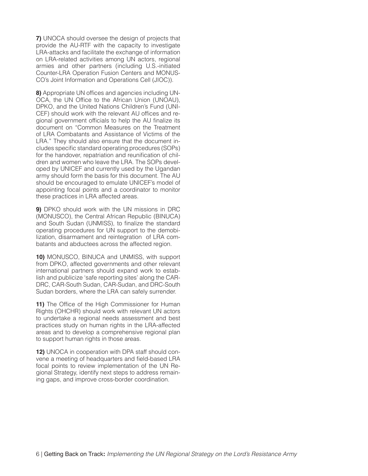**7)** UNOCA should oversee the design of projects that provide the AU-RTF with the capacity to investigate LRA-attacks and facilitate the exchange of information on LRA-related activities among UN actors, regional armies and other partners (including U.S.-initiated Counter-LRA Operation Fusion Centers and MONUS-CO's Joint Information and Operations Cell (JIOC)).

**8)** Appropriate UN offices and agencies including UN-OCA, the UN Office to the African Union (UNOAU), DPKO, and the United Nations Children's Fund (UNI-CEF) should work with the relevant AU offices and regional government officials to help the AU finalize its document on "Common Measures on the Treatment of LRA Combatants and Assistance of Victims of the LRA." They should also ensure that the document includes specific standard operating procedures (SOPs) for the handover, repatriation and reunification of children and women who leave the LRA. The SOPs developed by UNICEF and currently used by the Ugandan army should form the basis for this document. The AU should be encouraged to emulate UNICEF's model of appointing focal points and a coordinator to monitor these practices in LRA affected areas.

**9)** DPKO should work with the UN missions in DRC (MONUSCO), the Central African Republic (BINUCA) and South Sudan (UNMISS), to finalize the standard operating procedures for UN support to the demobilization, disarmament and reintegration of LRA combatants and abductees across the affected region.

**10)** MONUSCO, BINUCA and UNMISS, with support from DPKO, affected governments and other relevant international partners should expand work to establish and publicize 'safe reporting sites' along the CAR-DRC, CAR-South Sudan, CAR-Sudan, and DRC-South Sudan borders, where the LRA can safely surrender.

**11)** The Office of the High Commissioner for Human Rights (OHCHR) should work with relevant UN actors to undertake a regional needs assessment and best practices study on human rights in the LRA-affected areas and to develop a comprehensive regional plan to support human rights in those areas.

**12)** UNOCA in cooperation with DPA staff should convene a meeting of headquarters and field-based LRA focal points to review implementation of the UN Regional Strategy, identify next steps to address remaining gaps, and improve cross-border coordination.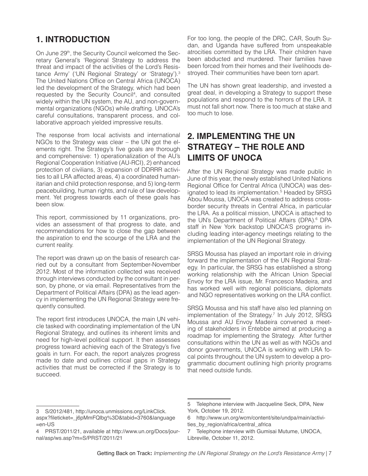# **1. INTRODUCTION**

On June 29<sup>th</sup>, the Security Council welcomed the Secretary General's 'Regional Strategy to address the threat and impact of the activities of the Lord's Resistance Army' ('UN Regional Strategy' or 'Strategy').3 The United Nations Office on Central Africa (UNOCA) led the development of the Strategy, which had been requested by the Security Council<sup>4</sup>, and consulted widely within the UN system, the AU, and non-governmental organizations (NGOs) while drafting. UNOCA's careful consultations, transparent process, and collaborative approach yielded impressive results.

The response from local activists and international NGOs to the Strategy was clear – the UN got the elements right. The Strategy's five goals are thorough and comprehensive: 1) operationalization of the AU's Regional Cooperation Initiative (AU-RCI), 2) enhanced protection of civilians, 3) expansion of DDRRR activities to all LRA affected areas, 4) a coordinated humanitarian and child protection response, and 5) long-term peacebuilding, human rights, and rule of law development. Yet progress towards each of these goals has been slow.

This report, commissioned by 11 organizations, provides an assessment of that progress to date, and recommendations for how to close the gap between the aspiration to end the scourge of the LRA and the current reality.

The report was drawn up on the basis of research carried out by a consultant from September-November 2012. Most of the information collected was received through interviews conducted by the consultant in person, by phone, or via email. Representatives from the Department of Political Affairs (DPA) as the lead agency in implementing the UN Regional Strategy were frequently consulted.

The report first introduces UNOCA, the main UN vehicle tasked with coordinating implementation of the UN Regional Strategy, and outlines its inherent limits and need for high-level political support. It then assesses progress toward achieving each of the Strategy's five goals in turn. For each, the report analyzes progress made to date and outlines critical gaps in Strategy activities that must be corrected if the Strategy is to succeed.

For too long, the people of the DRC, CAR, South Sudan, and Uganda have suffered from unspeakable atrocities committed by the LRA. Their children have been abducted and murdered. Their families have been forced from their homes and their livelihoods destroyed. Their communities have been torn apart.

The UN has shown great leadership, and invested a great deal, in developing a Strategy to support these populations and respond to the horrors of the LRA. It must not fall short now. There is too much at stake and too much to lose.

# **2. IMPLEMENTING THE UN STRATEGY – THE ROLE AND LIMITS OF UNOCA**

After the UN Regional Strategy was made public in June of this year, the newly established United Nations Regional Office for Central Africa (UNOCA) was designated to lead its implementation.<sup>5</sup> Headed by SRSG Abou Moussa, UNOCA was created to address crossborder security threats in Central Africa, in particular the LRA. As a political mission, UNOCA is attached to the UN's Department of Political Affairs (DPA).<sup>6</sup> DPA staff in New York backstop UNOCA'S programs including leading inter-agency meetings relating to the implementation of the UN Regional Strategy.

SRSG Moussa has played an important role in driving forward the implementation of the UN Regional Strategy. In particular, the SRSG has established a strong working relationship with the African Union Special Envoy for the LRA issue, Mr. Francesco Madeira, and has worked well with regional politicians, diplomats and NGO representatives working on the LRA conflict.

SRSG Moussa and his staff have also led planning on implementation of the Strategy.7 In July 2012, SRSG Moussa and AU Envoy Madeira convened a meeting of stakeholders in Entebbe aimed at producing a roadmap for implementing the Strategy. After further consultations within the UN as well as with NGOs and donor governments, UNOCA is working with LRA focal points throughout the UN system to develop a programmatic document outlining high priority programs that need outside funds.

<sup>3</sup> S/2012/481, http://unoca.unmissions.org/LinkClick. aspx?fileticket=\_j6pMmFQlbg%3D&tabid=3760&language =en-US

<sup>4</sup> PRST/2011/21, available at http://www.un.org/Docs/journal/asp/ws.asp?m=S/PRST/2011/21

<sup>5</sup> Telephone interview with Jacqueline Seck, DPA, New York, October 19, 2012.

<sup>6</sup> http://www.un.org/wcm/content/site/undpa/main/activities\_by\_region/africa/central\_africa

<sup>7</sup> Telephone interview with Gumisai Mutume, UNOCA, Libreville, October 11, 2012.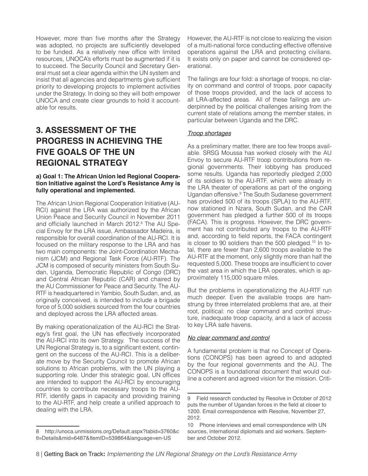However, more than five months after the Strategy was adopted, no projects are sufficiently developed to be funded. As a relatively new office with limited resources, UNOCA's efforts must be augmented if it is to succeed. The Security Council and Secretary General must set a clear agenda within the UN system and insist that all agencies and departments give sufficient priority to developing projects to implement activities under the Strategy. In doing so they will both empower UNOCA and create clear grounds to hold it accountable for results.

# **3. ASSESSMENT OF THE PROGRESS IN ACHIEVING THE FIVE GOALS OF THE UN REGIONAL STRATEGY**

#### **a) Goal 1: The African Union led Regional Cooperation Initiative against the Lord's Resistance Amy is fully operational and implemented.**

The African Union Regional Cooperation Initiative (AU-RCI) against the LRA was authorized by the African Union Peace and Security Council in November 2011 and officially launched in March 2012.<sup>8</sup> The AU Special Envoy for the LRA issue, Ambassador Madeira, is responsible for overall coordination of the AU-RCI. It is focused on the military response to the LRA and has two main components: the Joint-Coordination Mechanism (JCM) and Regional Task Force (AU-RTF). The JCM is composed of security ministers from South Sudan, Uganda, Democratic Republic of Congo (DRC) and Central African Republic (CAR) and chaired by the AU Commissioner for Peace and Security. The AU-RTF is headquartered in Yambio, South Sudan, and, as originally conceived, is intended to include a brigade force of 5,000 soldiers sourced from the four countries and deployed across the LRA affected areas.

By making operationalization of the AU-RCI the Strategy's first goal, the UN has effectively incorporated the AU-RCI into its own Strategy. The success of the UN Regional Strategy is, to a significant extent, contingent on the success of the AU-RCI. This is a deliberate move by the Security Council to promote African solutions to African problems, with the UN playing a supporting role. Under this strategic goal, UN offices are intended to support the AU-RCI by encouraging countries to contribute necessary troops to the AU-RTF, identify gaps in capacity and providing training to the AU-RTF, and help create a unified approach to dealing with the LRA.

However, the AU-RTF is not close to realizing the vision of a multi-national force conducting effective offensive operations against the LRA and protecting civilians. It exists only on paper and cannot be considered operational.

The failings are four fold: a shortage of troops, no clarity on command and control of troops, poor capacity of those troops provided, and the lack of access to all LRA-affected areas. All of these failings are underpinned by the political challenges arising from the current state of relations among the member states, in particular between Uganda and the DRC.

## *Troop shortages*

As a preliminary matter, there are too few troops available. SRSG Moussa has worked closely with the AU Envoy to secure AU-RTF troop contributions from regional governments. Their lobbying has produced some results. Uganda has reportedly pledged 2,000 of its soldiers to the AU-RTF, which were already in the LRA theater of operations as part of the ongoing Ugandan offensive.9 The South Sudanese government has provided 500 of its troops (SPLA) to the AU-RTF, now stationed in Nzara, South Sudan, and the CAR government has pledged a further 500 of its troops (FACA). This is progress. However, the DRC government has not contributed any troops to the AU-RTF and, according to field reports, the FACA contingent is closer to 90 soldiers than the 500 pledged.<sup>10</sup> In total, there are fewer than 2,600 troops available to the AU-RTF at the moment, only slightly more than half the requested 5,000. These troops are insufficient to cover the vast area in which the LRA operates, which is approximately 115,000 square miles.

But the problems in operationalizing the AU-RTF run much deeper. Even the available troops are hamstrung by three interrelated problems that are, at their root, political: no clear command and control structure, inadequate troop capacity, and a lack of access to key LRA safe havens.

## *No clear command and control*

A fundamental problem is that no Concept of Operations (CONOPS) has been agreed to and adopted by the four regional governments and the AU. The CONOPS is a foundational document that would outline a coherent and agreed vision for the mission. Criti-

<sup>8</sup> http://unoca.unmissions.org/Default.aspx?tabid=3760&c tl=Details&mid=6487&ItemID=539864&language=en-US

<sup>9</sup> Field research conducted by Resolve in October of 2012 puts the number of Ugandan forces in the field at closer to 1200. Email correspondence with Resolve, November 27, 2012.

<sup>10</sup> Phone interviews and email correspondence with UN sources, international diplomats and aid workers. September and October 2012.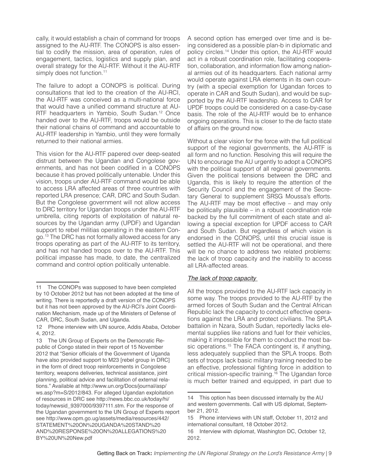cally, it would establish a chain of command for troops assigned to the AU-RTF. The CONOPS is also essential to codify the mission, area of operation, rules of engagement, tactics, logistics and supply plan, and overall strategy for the AU-RTF. Without it the AU-RTF simply does not function.<sup>11</sup>

The failure to adopt a CONOPS is political. During consultations that led to the creation of the AU-RCI, the AU-RTF was conceived as a multi-national force that would have a unified command structure at AU-RTF headquarters in Yambio, South Sudan.<sup>12</sup> Once handed over to the AU-RTF, troops would be outside their national chains of command and accountable to AU-RTF leadership in Yambio, until they were formally returned to their national armies.

This vision for the AU-RTF papered over deep-seated distrust between the Ugandan and Congolese governments, and has not been codified in a CONOPS because it has proved politically untenable. Under this vision, troops under AU-RTF command would be able to access LRA affected areas of three countries with reported LRA presence; CAR, DRC and South Sudan. But the Congolese government will not allow access to DRC territory for Ugandan troops under the AU-RTF umbrella, citing reports of exploitation of natural resources by the Ugandan army (UPDF) and Ugandan support to rebel militias operating in the eastern Congo.13 The DRC has not formally allowed access for any troops operating as part of the AU-RTF to its territory, and has not handed troops over to the AU-RTF. This political impasse has made, to date, the centralized command and control option politically untenable.

A second option has emerged over time and is being considered as a possible plan-b in diplomatic and policy circles.14 Under this option, the AU-RTF would act in a robust coordination role, facilitating cooperation, collaboration, and information flow among national armies out of its headquarters. Each national army would operate against LRA elements in its own country (with a special exemption for Ugandan forces to operate in CAR and South Sudan), and would be supported by the AU-RTF leadership. Access to CAR for UPDF troops could be considered on a case-by-case basis. The role of the AU-RTF would be to enhance ongoing operations. This is closer to the de facto state of affairs on the ground now.

Without a clear vision for the force with the full political support of the regional governments, the AU-RTF is all form and no function. Resolving this will require the UN to encourage the AU urgently to adopt a CONOPS with the political support of all regional governments. Given the political tensions between the DRC and Uganda, this is likely to require the attention of the Security Council and the engagement of the Secretary General to supplement SRSG Moussa's efforts. The AU-RTF may be most effective – and may only be politically plausible – in a robust coordination role backed by the full commitment of each state and allowing a special exception for UPDF access to CAR and South Sudan. But regardless of which vision is endorsed in the CONOPS, until this crucial issue is settled the AU-RTF will not be operational, and there will be no chance to address two related problems: the lack of troop capacity and the inability to access all LRA-affected areas.

## *The lack of troop capacity*

All the troops provided to the AU-RTF lack capacity in some way. The troops provided to the AU-RTF by the armed forces of South Sudan and the Central African Republic lack the capacity to conduct effective operations against the LRA and protect civilians. The SPLA battalion in Nzara, South Sudan, reportedly lacks elemental supplies like rations and fuel for their vehicles, making it impossible for them to conduct the most basic operations.<sup>15</sup> The FACA contingent is, if anything, less adequately supplied than the SPLA troops. Both sets of troops lack basic military training needed to be an effective, professional fighting force in addition to critical mission-specific training.<sup>16</sup> The Ugandan force is much better trained and equipped, in part due to

<sup>11</sup> The CONOPs was supposed to have been completed by 10 October 2012 but has not been adopted at the time of writing. There is reportedly a draft version of the CONOPS but it has not been approved by the AU-RCI's Joint Coordination Mechanism, made up of the Ministers of Defense of CAR, DRC, South Sudan, and Uganda.

<sup>12</sup> Phone interview with UN source, Addis Ababa, October 4, 2012.

<sup>13</sup> The UN Group of Experts on the Democratic Republic of Congo stated in their report of 15 November 2012 that "Senior officials of the Government of Uganda have also provided support to M23 [rebel group in DRC] in the form of direct troop reinforcements in Congolese territory, weapons deliveries, technical assistance, joint planning, political advice and facilitation of external relations." Available at http://www.un.org/Docs/journal/asp/ ws.asp?m=S/2012/843. For alleged Ugandan exploitation of resources in DRC see http://news.bbc.co.uk/today/hi/ today/newsid\_9397000/9397111.stm. For the response of the Ugandan government to the UN Group of Experts report see http://www.opm.go.ug/assets/media/resources/442/ STATEMENT%20ON%20UGANDA%20STAND%20 AND%20RESPONSE%20ON%20ALLEGATIONS%20 BY%20UN%20New.pdf

<sup>14</sup> This option has been discussed internally by the AU and western governments. Call with US diplomat, September 21, 2012.

<sup>15</sup> Phone interviews with UN staff, October 11, 2012 and international consultant, 18 October 2012.

<sup>16</sup> Interview with diplomat, Washington DC, October 12, 2012.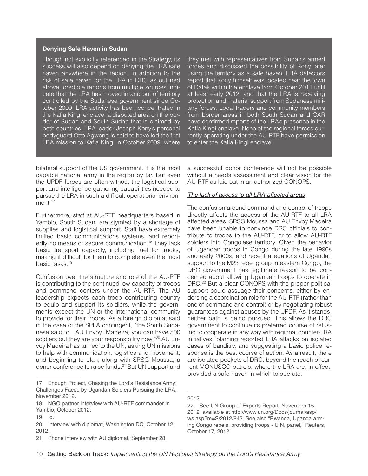#### **Denying Safe Haven in Sudan**

Though not explicitly referenced in the Strategy, its success will also depend on denying the LRA safe haven anywhere in the region. In addition to the risk of safe haven for the LRA in DRC as outlined above, credible reports from multiple sources indicate that the LRA has moved in and out of territory controlled by the Sudanese government since October 2009. LRA activity has been concentrated in the Kafia Kingi enclave, a disputed area on the border of Sudan and South Sudan that is claimed by both countries. LRA leader Joseph Kony's personal bodyguard Otto Agweng is said to have led the first LRA mission to Kafia Kingi in October 2009, where

bilateral support of the US government. It is the most capable national army in the region by far. But even the UPDF forces are often without the logistical support and intelligence gathering capabilities needed to pursue the LRA in such a difficult operational environment.<sup>17</sup>

Furthermore, staff at AU-RTF headquarters based in Yambio, South Sudan, are stymied by a shortage of supplies and logistical support. Staff have extremely limited basic communications systems, and reportedly no means of secure communication.<sup>18</sup> They lack basic transport capacity, including fuel for trucks, making it difficult for them to complete even the most basic tasks.19

Confusion over the structure and role of the AU-RTF is contributing to the continued low capacity of troops and command centers under the AU-RTF. The AU leadership expects each troop contributing country to equip and support its soldiers, while the governments expect the UN or the international community to provide for their troops. As a foreign diplomat said in the case of the SPLA contingent, "the South Sudanese said to [AU Envoy] Madeira, you can have 500 soldiers but they are your responsibility now."<sup>20</sup> AU Envoy Madeira has turned to the UN, asking UN missions to help with communication, logistics and movement, and beginning to plan, along with SRSG Moussa, a donor conference to raise funds.21 But UN support and

they met with representatives from Sudan's armed forces and discussed the possibility of Kony later using the territory as a safe haven. LRA defectors report that Kony himself was located near the town of Dafak within the enclave from October 2011 until at least early 2012, and that the LRA is receiving protection and material support from Sudanese military forces. Local traders and community members from border areas in both South Sudan and CAR have confirmed reports of the LRA's presence in the Kafia Kingi enclave. None of the regional forces currently operating under the AU-RTF have permission to enter the Kafia Kingi enclave.

a successful donor conference will not be possible without a needs assessment and clear vision for the AU-RTF as laid out in an authorized CONOPS.

#### *The lack of access to all LRA-affected areas*

The confusion around command and control of troops directly affects the access of the AU-RTF to all LRA affected areas. SRSG Moussa and AU Envoy Madeira have been unable to convince DRC officials to contribute to troops to the AU-RTF, or to allow AU-RTF soldiers into Congolese territory. Given the behavior of Ugandan troops in Congo during the late 1990s and early 2000s, and recent allegations of Ugandan support to the M23 rebel group in eastern Congo, the DRC government has legitimate reason to be concerned about allowing Ugandan troops to operate in DRC.<sup>22</sup> But a clear CONOPS with the proper political support could assuage their concerns, either by endorsing a coordination role for the AU-RTF (rather than one of command and control) or by negotiating robust guarantees against abuses by the UPDF. As it stands, neither path is being pursued. This allows the DRC government to continue its preferred course of refusing to cooperate in any way with regional counter-LRA initiatives, blaming reported LRA attacks on isolated cases of banditry, and suggesting a basic police response is the best course of action. As a result, there are isolated pockets of DRC, beyond the reach of current MONUSCO patrols, where the LRA are, in effect, provided a safe-haven in which to operate.

2012.

<sup>17</sup> Enough Project, Chasing the Lord's Resistance Army: Challenges Faced by Ugandan Soldiers Pursuing the LRA, November 2012.

<sup>18</sup> NGO partner interview with AU-RTF commander in Yambio, October 2012.

<sup>19</sup> Id.

<sup>20</sup> Interview with diplomat, Washington DC, October 12, 2012.

<sup>21</sup> Phone interview with AU diplomat, September 28,

<sup>22</sup> See UN Group of Experts Report, November 15, 2012, available at http://www.un.org/Docs/journal/asp/ ws.asp?m=S/2012/843. See also "Rwanda, Uganda arming Congo rebels, providing troops - U.N. panel," Reuters, October 17, 2012.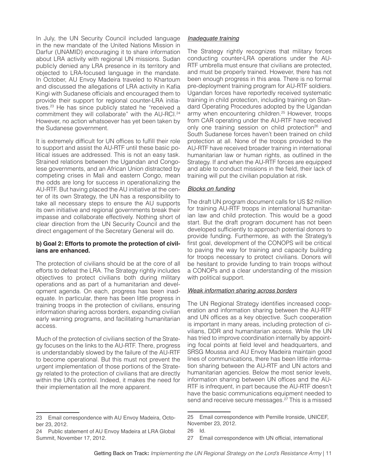In July, the UN Security Council included language in the new mandate of the United Nations Mission in Darfur (UNAMID) encouraging it to share information about LRA activity with regional UN missions. Sudan publicly denied any LRA presence in its territory and objected to LRA-focused language in the mandate. In October, AU Envoy Madeira traveled to Khartoum and discussed the allegations of LRA activity in Kafia Kingi with Sudanese officials and encouraged them to provide their support for regional counter-LRA initiatives.23 He has since publicly stated he "received a commitment they will collaborate" with the AU-RCI.24 However, no action whatsoever has yet been taken by the Sudanese government.

It is extremely difficult for UN offices to fulfill their role to support and assist the AU-RTF until these basic political issues are addressed. This is not an easy task. Strained relations between the Ugandan and Congolese governments, and an African Union distracted by competing crises in Mali and eastern Congo, mean the odds are long for success in operationalizing the AU-RTF. But having placed the AU initiative at the center of its own Strategy, the UN has a responsibility to take all necessary steps to ensure the AU supports its own initiative and regional governments break their impasse and collaborate effectively. Nothing short of clear direction from the UN Security Council and the direct engagement of the Secretary General will do.

#### **b) Goal 2: Efforts to promote the protection of civilians are enhanced.**

The protection of civilians should be at the core of all efforts to defeat the LRA. The Strategy rightly includes objectives to protect civilians both during military operations and as part of a humanitarian and development agenda. On each, progress has been inadequate. In particular, there has been little progress in training troops in the protection of civilians, ensuring information sharing across borders, expanding civilian early warning programs, and facilitating humanitarian access.

Much of the protection of civilians section of the Strategy focuses on the links to the AU-RTF. There, progress is understandably slowed by the failure of the AU-RTF to become operational. But this must not prevent the urgent implementation of those portions of the Strategy related to the protection of civilians that are directly within the UN's control. Indeed, it makes the need for their implementation all the more apparent.

## *Inadequate training*

The Strategy rightly recognizes that military forces conducting counter-LRA operations under the AU-RTF umbrella must ensure that civilians are protected, and must be properly trained. However, there has not been enough progress in this area. There is no formal pre-deployment training program for AU-RTF soldiers. Ugandan forces have reportedly received systematic training in child protection, including training on Standard Operating Procedures adopted by the Ugandan army when encountering children.<sup>25</sup> However, troops from CAR operating under the AU-RTF have received only one training session on child protection<sup>26</sup> and South Sudanese forces haven't been trained on child protection at all. None of the troops provided to the AU-RTF have received broader training in international humanitarian law or human rights, as outlined in the Strategy. If and when the AU-RTF forces are equipped and able to conduct missions in the field, their lack of training will put the civilian population at risk.

## *Blocks on funding*

The draft UN program document calls for US \$2 million for training AU-RTF troops in international humanitarian law and child protection. This would be a good start. But the draft program document has not been developed sufficiently to approach potential donors to provide funding. Furthermore, as with the Strategy's first goal, development of the CONOPS will be critical to paving the way for training and capacity building for troops necessary to protect civilians. Donors will be hesitant to provide funding to train troops without a CONOPs and a clear understanding of the mission with political support.

#### *Weak information sharing across borders*

The UN Regional Strategy identifies increased cooperation and information sharing between the AU-RTF and UN offices as a key objective. Such cooperation is important in many areas, including protection of civilians, DDR and humanitarian access. While the UN has tried to improve coordination internally by appointing focal points at field level and headquarters, and SRSG Moussa and AU Envoy Madeira maintain good lines of communications, there has been little information sharing between the AU-RTF and UN actors and humanitarian agencies. Below the most senior levels, information sharing between UN offices and the AU-RTF is infrequent, in part because the AU-RTF doesn't have the basic communications equipment needed to send and receive secure messages.<sup>27</sup> This is a missed

<sup>23</sup> Email correspondence with AU Envoy Madeira, October 23, 2012.

<sup>24</sup> Public statement of AU Envoy Madeira at LRA Global Summit, November 17, 2012.

<sup>25</sup> Email correspondence with Pernille Ironside, UNICEF, November 23, 2012.

<sup>26</sup> Id.

<sup>27</sup> Email correspondence with UN official, international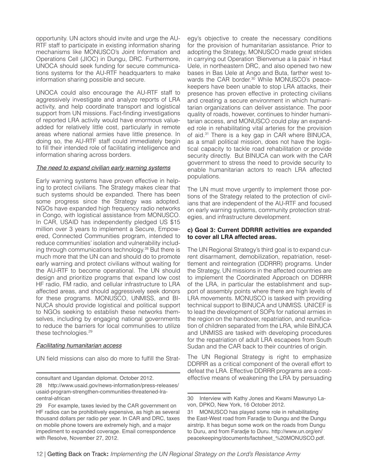opportunity. UN actors should invite and urge the AU-RTF staff to participate in existing information sharing mechanisms like MONUSCO's Joint Information and Operations Cell (JIOC) in Dungu, DRC. Furthermore, UNOCA should seek funding for secure communications systems for the AU-RTF headquarters to make information sharing possible and secure.

UNOCA could also encourage the AU-RTF staff to aggressively investigate and analyze reports of LRA activity, and help coordinate transport and logistical support from UN missions. Fact-finding investigations of reported LRA activity would have enormous valueadded for relatively little cost, particularly in remote areas where national armies have little presence. In doing so, the AU-RTF staff could immediately begin to fill their intended role of facilitating intelligence and information sharing across borders.

#### *The need to expand civilian early warning systems*

Early warning systems have proven effective in helping to protect civilians. The Strategy makes clear that such systems should be expanded. There has been some progress since the Strategy was adopted. NGOs have expanded high frequency radio networks in Congo, with logistical assistance from MONUSCO. In CAR, USAID has independently pledged US \$15 million over 3 years to implement a Secure, Empowered, Connected Communities program, intended to reduce communities' isolation and vulnerability including through communications technology.<sup>28</sup> But there is much more that the UN can and should do to promote early warning and protect civilians without waiting for the AU-RTF to become operational. The UN should design and prioritize programs that expand low cost HF radio, FM radio, and cellular infrastructure to LRA affected areas, and should aggressively seek donors for these programs. MONUSCO, UNMISS, and BI-NUCA should provide logistical and political support to NGOs seeking to establish these networks themselves, including by engaging national governments to reduce the barriers for local communities to utilize these technologies.29

#### *Facilitating humanitarian access*

UN field missions can also do more to fulfill the Strat-

egy's objective to create the necessary conditions for the provision of humanitarian assistance. Prior to adopting the Strategy, MONUSCO made great strides in carrying out Operation 'Bienvenue a la paix' in Haut Uele, in northeastern DRC, and also opened two new bases in Bas Uele at Ango and Buta, farther west towards the CAR border.<sup>30</sup> While MONUSCO's peacekeepers have been unable to stop LRA attacks, their presence has proven effective in protecting civilians and creating a secure environment in which humanitarian organizations can deliver assistance. The poor quality of roads, however, continues to hinder humanitarian access, and MONUSCO could play an expanded role in rehabilitating vital arteries for the provision of aid.31 There is a key gap in CAR where BINUCA, as a small political mission, does not have the logistical capacity to tackle road rehabilitation or provide security directly. But BINUCA can work with the CAR government to stress the need to provide security to enable humanitarian actors to reach LRA affected populations.

The UN must move urgently to implement those portions of the Strategy related to the protection of civilians that are independent of the AU-RTF and focused on early warning systems, community protection strategies, and infrastructure development.

#### **c) Goal 3: Current DDRRR activities are expanded to cover all LRA affected areas.**

The UN Regional Strategy's third goal is to expand current disarmament, demobilization, repatriation, resettlement and reintegration (DDRRR) programs. Under the Strategy, UN missions in the affected countries are to implement the Coordinated Approach on DDRRR of the LRA, in particular the establishment and support of assembly points where there are high levels of LRA movements. MONUSCO is tasked with providing technical support to BINUCA and UNMISS. UNICEF is to lead the development of SOPs for national armies in the region on the handover, repatriation, and reunification of children separated from the LRA, while BINUCA and UNMISS are tasked with developing procedures for the repatriation of adult LRA escapees from South Sudan and the CAR back to their countries of origin.

The UN Regional Strategy is right to emphasize DDRRR as a critical component of the overall effort to defeat the LRA. Effective DDRRR programs are a costeffective means of weakening the LRA by persuading

consultant and Ugandan diplomat. October 2012.

<sup>28</sup> http://www.usaid.gov/news-information/press-releases/ usaid-program-strengthen-communities-threatened-lracentral-african

<sup>29</sup> For example, taxes levied by the CAR government on HF radios can be prohibitively expensive, as high as several thousand dollars per radio per year. In CAR and DRC, taxes on mobile phone towers are extremely high, and a major impediment to expanded coverage. Email correspondence with Resolve, November 27, 2012.

<sup>30</sup> Interview with Kathy Jones and Kwami Mawunyo Lavon, DPKO, New York, 16 October 2012.

<sup>31</sup> MONUSCO has played some role in rehabilitating the East-West road from Faradje to Dungu and the Dungu airstrip. It has begun some work on the roads from Dungu to Duru, and from Faradje to Duru. http://www.un.org/en/ peacekeeping/documents/factsheet\_%20MONUSCO.pdf.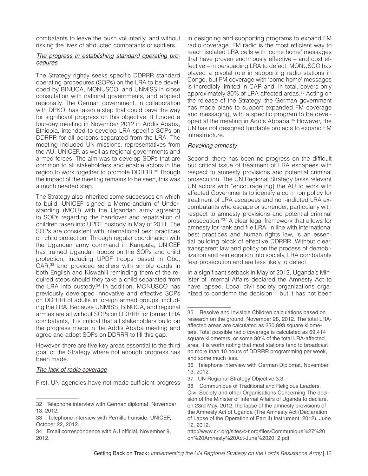combatants to leave the bush voluntarily, and without risking the lives of abducted combatants or soldiers.

#### *The progress in establishing standard operating procedures*

The Strategy rightly seeks specific DDRRR standard operating procedures (SOPs) on the LRA to be developed by BINUCA, MONUSCO, and UNMISS in close consultation with national governments, and applied regionally. The German government, in collaboration with DPKO, has taken a step that could pave the way for significant progress on this objective. It funded a four-day meeting in November 2012 in Addis Ababa, Ethiopia, intended to develop LRA specific SOPs on DDRRR for all persons separated from the LRA. The meeting included UN missions, representatives from the AU, UNICEF, as well as regional governments and armed forces. The aim was to develop SOPs that are common to all stakeholders and enable actors in the region to work together to promote DDRRR.<sup>32</sup> Though the impact of the meeting remains to be seen, this was a much needed step.

The Strategy also inherited some successes on which to build. UNICEF signed a Memorandum of Understanding (MOU) with the Ugandan army agreeing to SOPs regarding the handover and repatriation of children taken into UPDF custody in May of 2011. The SOPs are consistent with international best practices on child protection. Through regular coordination with the Ugandan army command in Kampala, UNICEF has trained Ugandan troops on the SOPs and child protection, including UPDF troops based in Obo, CAR,33 and provided soldiers with simple cards in both English and Kiswahili reminding them of the required steps should they take a child separated from the LRA into custody.<sup>34</sup> In addition, MONUSCO has previously developed innovative and effective SOPs on DDRRR of adults in foreign armed groups, including the LRA. Because UNMISS, BINUCA, and regional armies are all without SOPs on DDRRR for former LRA combatants, it is critical that all stakeholders build on the progress made in the Addis Ababa meeting and agree and adopt SOPs on DDRRR to fill this gap.

However, there are five key areas essential to the third goal of the Strategy where not enough progress has been made.

#### *The lack of radio coverage*

First, UN agencies have not made sufficient progress

in designing and supporting programs to expand FM radio coverage. FM radio is the most efficient way to reach isolated LRA cells with 'come home' messages that have proven enormously effective – and cost effective – in persuading LRA to defect. MONUSCO has played a pivotal role in supporting radio stations in Congo, but FM coverage with 'come home' messages is incredibly limited in CAR and, in total, covers only approximately 30% of LRA affected areas.35 Acting on the release of the Strategy, the German government has made plans to support expanded FM coverage and messaging, with a specific program to be developed at the meeting in Addis Abbaba.<sup>36</sup> However, the UN has not designed fundable projects to expand FM infrastructure.

#### *Revoking amnesty*

Second, there has been no progress on the difficult but critical issue of treatment of LRA escapees with respect to amnesty provisions and potential criminal prosecution. The UN Regional Strategy tasks relevant UN actors with "encourage[ing] the AU to work with affected Governments to identify a common policy for treatment of LRA escapees and non-indicted LRA excombatants who escape or surrender, particularly with respect to amnesty provisions and potential criminal prosecution."37 A clear legal framework that allows for amnesty for rank and file LRA, in line with international best practices and human rights law, is an essential building block of effective DDRRR. Without clear, transparent law and policy on the process of demobilization and reintegration into society, LRA combatants fear prosecution and are less likely to defect.

In a significant setback in May of 2012, Uganda's Minister of Internal Affairs declared the Amnesty Act to have lapsed. Local civil society organizations organized to condemn the decision  $38$  but it has not been

<sup>32</sup> Telephone interview with German diplomat, November 13, 2012.

<sup>33</sup> Telephone interview with Pernille Ironside, UNICEF, October 22, 2012.

<sup>34</sup> Email correspondence with AU official, November 9, 2012.

<sup>35</sup> Resolve and Invisible Children calculations based on research on the ground, November 28, 2012. The total LRAaffected areas are calculated as 230,893 square kilometers. Total possible radio coverage is calculated as 69,414 square kilometers, or some 30% of the total LRA-affected area. It is worth noting that most stations tend to broadcast no more than 10 hours of DDRRR programming per week, and some much less.

<sup>36</sup> Telephone interview with German Diplomat, November 13, 2012.

<sup>37</sup> UN Regional Strategy Objective 3.3.

<sup>38</sup> Communiqué of Traditional and Religious Leaders, Civil Society and other Organisations Concerning The decision of the Minister of Internal Affairs of Uganda to declare, on 23rd May, 2012, the lapse of the amnesty provisions of the Amnesty Act of Uganda (The Amnesty Act (Declaration of Lapse of the Operation of Part II) Instrument, 2012), June 12, 2012.

http://www.c-r.org/sites/c-r.org/files/Communique%27%20 on%20Amnesty%20Act-June%202012.pdf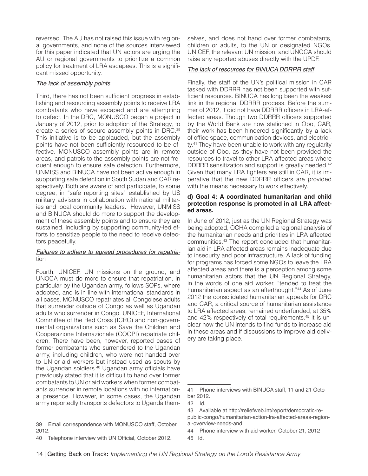reversed. The AU has not raised this issue with regional governments, and none of the sources interviewed for this paper indicated that UN actors are urging the AU or regional governments to prioritize a common policy for treatment of LRA escapees. This is a significant missed opportunity.

#### *The lack of assembly points*

Third, there has not been sufficient progress in establishing and resourcing assembly points to receive LRA combatants who have escaped and are attempting to defect. In the DRC, MONUSCO began a project in January of 2012, prior to adoption of the Strategy, to create a series of secure assembly points in DRC.39 This initiative is to be applauded, but the assembly points have not been sufficiently resourced to be effective. MONUSCO assembly points are in remote areas, and patrols to the assembly points are not frequent enough to ensure safe defection. Furthermore, UNMISS and BINUCA have not been active enough in supporting safe defection in South Sudan and CAR respectively. Both are aware of and participate, to some degree, in "safe reporting sites" established by US military advisors in collaboration with national militaries and local community leaders. However, UNMISS and BINUCA should do more to support the development of these assembly points and to ensure they are sustained, including by supporting community-led efforts to sensitize people to the need to receive defectors peacefully.

#### *Failures to adhere to agreed procedures for repatria*tion

Fourth, UNICEF, UN missions on the ground, and UNOCA must do more to ensure that repatriation, in particular by the Ugandan army, follows SOPs, where adopted, and is in line with international standards in all cases. MONUSCO repatriates all Congolese adults that surrender outside of Congo as well as Ugandan adults who surrender in Congo. UNICEF, International Committee of the Red Cross (ICRC) and non-governmental organizations such as Save the Children and Cooperazione Internazionale (COOPI) repatriate children. There have been, however, reported cases of former combatants who surrendered to the Ugandan army, including children, who were not handed over to UN or aid workers but instead used as scouts by the Ugandan soldiers.40 Ugandan army officials have previously stated that it is difficult to hand over former combatants to UN or aid workers when former combatants surrender in remote locations with no international presence. However, in some cases, the Ugandan army reportedly transports defectors to Uganda themselves, and does not hand over former combatants, children or adults, to the UN or designated NGOs. UNICEF, the relevant UN mission, and UNOCA should raise any reported abuses directly with the UPDF.

#### *The lack of resources for BINUCA DDRRR staff*

Finally, the staff of the UN's political mission in CAR tasked with DDRRR has not been supported with sufficient resources. BINUCA has long been the weakest link in the regional DDRRR process. Before the summer of 2012, it did not have DDRRR officers in LRA-affected areas. Though two DDRRR officers supported by the World Bank are now stationed in Obo, CAR, their work has been hindered significantly by a lack of office space, communication devices, and electricity.<sup>41</sup> They have been unable to work with any regularity outside of Obo, as they have not been provided the resources to travel to other LRA-affected areas where DDRRR sensitization and support is greatly needed.<sup>42</sup> Given that many LRA fighters are still in CAR, it is imperative that the new DDRRR officers are provided with the means necessary to work effectively.

#### **d) Goal 4: A coordinated humanitarian and child protection response is promoted in all LRA affected areas.**

In June of 2012, just as the UN Regional Strategy was being adopted, OCHA compiled a regional analysis of the humanitarian needs and priorities in LRA affected communities.43 The report concluded that humanitarian aid in LRA affected areas remains inadequate due to insecurity and poor infrastructure. A lack of funding for programs has forced some NGOs to leave the LRA affected areas and there is a perception among some humanitarian actors that the UN Regional Strategy, in the words of one aid worker, "tended to treat the humanitarian aspect as an afterthought."<sup>44</sup> As of June 2012 the consolidated humanitarian appeals for DRC and CAR, a critical source of humanitarian assistance to LRA affected areas, remained underfunded, at 35% and 42% respectively of total requirements.45 It is unclear how the UN intends to find funds to increase aid in these areas and if discussions to improve aid delivery are taking place.

<sup>39</sup> Email correspondence with MONUSCO staff, October 2012.

<sup>40</sup> Telephone interview with UN Official, October 2012.

<sup>41</sup> Phone interviews with BINUCA staff, 11 and 21 October 2012.

<sup>42</sup> Id.

<sup>43</sup> Available at http://reliefweb.int/report/democratic-republic-congo/humanitarian-action-lra-affected-areas-regional-overview-needs-and

<sup>44</sup> Phone interview with aid worker, October 21, 2012 45 Id.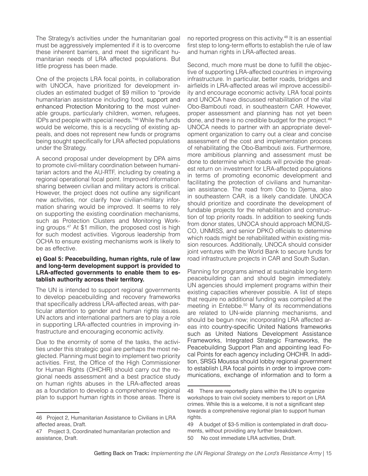The Strategy's activities under the humanitarian goal must be aggressively implemented if it is to overcome these inherent barriers, and meet the significant humanitarian needs of LRA affected populations. But little progress has been made.

One of the projects LRA focal points, in collaboration with UNOCA, have prioritized for development includes an estimated budget of \$9 million to "provide humanitarian assistance including food, support and enhanced Protection Monitoring to the most vulnerable groups, particularly children, women, refugees, IDPs and people with special needs."46 While the funds would be welcome, this is a recycling of existing appeals, and does not represent new funds or programs being sought specifically for LRA affected populations under the Strategy.

A second proposal under development by DPA aims to promote civil-military coordination between humanitarian actors and the AU-RTF, including by creating a regional operational focal point. Improved information sharing between civilian and military actors is critical. However, the project does not outline any significant new activities, nor clarify how civilian-military information sharing would be improved. It seems to rely on supporting the existing coordination mechanisms, such as Protection Clusters and Monitoring Working groups.<sup>47</sup> At \$1 million, the proposed cost is high for such modest activities. Vigorous leadership from OCHA to ensure existing mechanisms work is likely to be as effective.

#### **e) Goal 5: Peacebuilding, human rights, rule of law and long-term development support is provided to LRA-affected governments to enable them to establish authority across their territory.**

The UN is intended to support regional governments to develop peacebuilding and recovery frameworks that specifically address LRA-affected areas, with particular attention to gender and human rights issues. UN actors and international partners are to play a role in supporting LRA-affected countries in improving infrastructure and encouraging economic activity.

Due to the enormity of some of the tasks, the activities under this strategic goal are perhaps the most neglected. Planning must begin to implement two priority activities. First, the Office of the High Commissioner for Human Rights (OHCHR) should carry out the regional needs assessment and a best practice study on human rights abuses in the LRA-affected areas as a foundation to develop a comprehensive regional plan to support human rights in those areas. There is

no reported progress on this activity.<sup>48</sup> It is an essential first step to long-term efforts to establish the rule of law and human rights in LRA-affected areas.

Second, much more must be done to fulfill the objective of supporting LRA-affected countries in improving infrastructure. In particular, better roads, bridges and airfields in LRA-affected areas wil improve accessibility and encourage economic activity. LRA focal points and UNOCA have discussed rehabilitation of the vital Obo-Bambouti road, in southeastern CAR. However, proper assessment and planning has not yet been done, and there is no credible budget for the project.49 UNOCA needs to partner with an appropriate development organization to carry out a clear and concise assessment of the cost and implementation process of rehabilitating the Obo-Bambouti axis. Furthermore, more ambitious planning and assessment must be done to determine which roads will provide the greatest return on investment for LRA-affected populations in terms of promoting economic development and facilitating the protection of civilians and humanitarian assistance. The road from Obo to Djema, also in southeastern CAR, is a likely candidate. UNOCA should prioritize and coordinate the development of fundable projects for the rehabilitation and construction of top priority roads. In addition to seeking funds from donor states, UNOCA should approach MONUS-CO, UNMISS, and senior DPKO officials to determine which roads might be rehabilitated within existing mission resources. Additionally, UNOCA should consider joint ventures with the World Bank to secure funds for road infrastructure projects in CAR and South Sudan.

Planning for programs aimed at sustainable long-term peacebuilding can and should begin immediately. UN agencies should implement programs within their existing capacities wherever possible. A list of steps that require no additional funding was compiled at the meeting in Entebbe.<sup>50</sup> Many of its recommendations are related to UN-wide planning mechanisms, and should be begun now; incorporating LRA affected areas into country-specific United Nations frameworks such as United Nations Development Assistance Frameworks, Integrated Strategic Frameworks, the Peacebuilding Support Plan and appointing lead Focal Points for each agency including OHCHR. In addition, SRSG Moussa should lobby regional government to establish LRA focal points in order to improve communications, exchange of information and to form a

<sup>46</sup> Project 2, Humanitarian Assistance to Civilians in LRA affected areas, Draft.

<sup>47</sup> Project 3, Coordinated humanitarian protection and assistance, Draft.

<sup>48</sup> There are reportedly plans within the UN to organize workshops to train civil society members to report on LRA crimes. While this is a welcome, it is not a significant step towards a comprehensive regional plan to support human rights.

<sup>49</sup> A budget of \$3-5 million is contemplated in draft documents, without providing any further breakdown.

<sup>50</sup> No cost immediate LRA activities, Draft.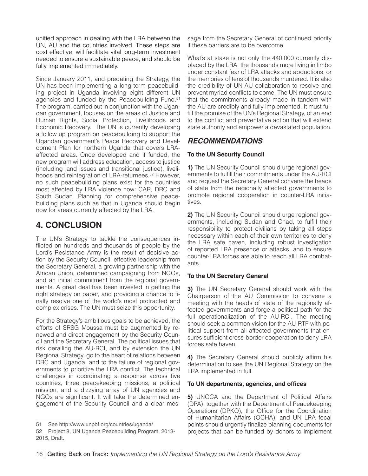unified approach in dealing with the LRA between the UN, AU and the countries involved. These steps are cost effective, will facilitate vital long-term investment needed to ensure a sustainable peace, and should be fully implemented immediately.

Since January 2011, and predating the Strategy, the UN has been implementing a long-term peacebuilding project in Uganda involving eight different UN agencies and funded by the Peacebuilding Fund.51 The program, carried out in conjunction with the Ugandan government, focuses on the areas of Justice and Human Rights, Social Protection, Livelihoods and Economic Recovery. The UN is currently developing a follow up program on peacebuilding to support the Ugandan government's Peace Recovery and Development Plan for northern Uganda that covers LRAaffected areas. Once developed and if funded, the new program will address education, access to justice (including land issues and transitional justice), livelihoods and reintegration of LRA-returnees.<sup>52</sup> However, no such peacebuilding plans exist for the countries most affected by LRA violence now: CAR, DRC and South Sudan. Planning for comprehensive peacebuilding plans such as that in Uganda should begin now for areas currently affected by the LRA.

# **4. CONCLUSION**

The UN's Strategy to tackle the consequences inflicted on hundreds and thousands of people by the Lord's Resistance Army is the result of decisive action by the Security Council, effective leadership from the Secretary General, a growing partnership with the African Union, determined campaigning from NGOs, and an initial commitment from the regional governments. A great deal has been invested in getting the right strategy on paper, and providing a chance to finally resolve one of the world's most protracted and complex crises. The UN must seize this opportunity.

For the Strategy's ambitious goals to be achieved, the efforts of SRSG Moussa must be augmented by renewed and direct engagement by the Security Council and the Secretary General. The political issues that risk derailing the AU-RCI, and by extension the UN Regional Strategy, go to the heart of relations between DRC and Uganda, and to the failure of regional governments to prioritize the LRA conflict. The technical challenges in coordinating a response across five countries, three peacekeeping missions, a political mission, and a dizzying array of UN agencies and NGOs are significant. It will take the determined engagement of the Security Council and a clear message from the Secretary General of continued priority if these barriers are to be overcome.

What's at stake is not only the 440,000 currently displaced by the LRA, the thousands more living in limbo under constant fear of LRA attacks and abductions, or the memories of tens of thousands murdered. It is also the credibility of UN-AU collaboration to resolve and prevent myriad conflicts to come. The UN must ensure that the commitments already made in tandem with the AU are credibly and fully implemented. It must fulfill the promise of the UN's Regional Strategy, of an end to the conflict and preventative action that will extend state authority and empower a devastated population.

# *RECOMMENDATIONS*

## **To the UN Security Council**

**1)** The UN Security Council should urge regional governments to fulfill their commitments under the AU-RCI and request the Secretary General convene the heads of state from the regionally affected governments to promote regional cooperation in counter-LRA initiatives.

**2)** The UN Security Council should urge regional governments, including Sudan and Chad, to fulfill their responsibility to protect civilians by taking all steps necessary within each of their own territories to deny the LRA safe haven, including robust investigation of reported LRA presence or attacks, and to ensure counter-LRA forces are able to reach all LRA combatants.

## **To the UN Secretary General**

**3)** The UN Secretary General should work with the Chairperson of the AU Commission to convene a meeting with the heads of state of the regionally affected governments and forge a political path for the full operationalization of the AU-RCI. The meeting should seek a common vision for the AU-RTF with political support from all affected governments that ensures sufficient cross-border cooperation to deny LRA forces safe haven.

**4)** The Secretary General should publicly affirm his determination to see the UN Regional Strategy on the LRA implemented in full.

## **To UN departments, agencies, and offices**

**5)** UNOCA and the Department of Political Affairs (DPA), together with the Department of Peacekeeping Operations (DPKO), the Office for the Coordination of Humanitarian Affairs (OCHA), and UN LRA focal points should urgently finalize planning documents for projects that can be funded by donors to implement

<sup>51</sup> See http://www.unpbf.org/countries/uganda/

<sup>52</sup> Project 8, UN Uganda Peacebuilding Program, 2013-

<sup>2015,</sup> Draft.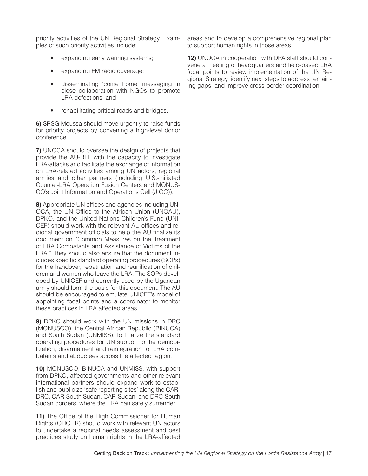priority activities of the UN Regional Strategy. Examples of such priority activities include:

- expanding early warning systems;
- expanding FM radio coverage;
- disseminating 'come home' messaging in close collaboration with NGOs to promote LRA defections; and
- rehabilitating critical roads and bridges.

**6)** SRSG Moussa should move urgently to raise funds for priority projects by convening a high-level donor conference.

**7)** UNOCA should oversee the design of projects that provide the AU-RTF with the capacity to investigate LRA-attacks and facilitate the exchange of information on LRA-related activities among UN actors, regional armies and other partners (including U.S.-initiated Counter-LRA Operation Fusion Centers and MONUS-CO's Joint Information and Operations Cell (JIOC)).

**8)** Appropriate UN offices and agencies including UN-OCA, the UN Office to the African Union (UNOAU), DPKO, and the United Nations Children's Fund (UNI-CEF) should work with the relevant AU offices and regional government officials to help the AU finalize its document on "Common Measures on the Treatment of LRA Combatants and Assistance of Victims of the LRA." They should also ensure that the document includes specific standard operating procedures (SOPs) for the handover, repatriation and reunification of children and women who leave the LRA. The SOPs developed by UNICEF and currently used by the Ugandan army should form the basis for this document. The AU should be encouraged to emulate UNICEF's model of appointing focal points and a coordinator to monitor these practices in LRA affected areas.

**9)** DPKO should work with the UN missions in DRC (MONUSCO), the Central African Republic (BINUCA) and South Sudan (UNMISS), to finalize the standard operating procedures for UN support to the demobilization, disarmament and reintegration of LRA combatants and abductees across the affected region.

**10)** MONUSCO, BINUCA and UNMISS, with support from DPKO, affected governments and other relevant international partners should expand work to establish and publicize 'safe reporting sites' along the CAR-DRC, CAR-South Sudan, CAR-Sudan, and DRC-South Sudan borders, where the LRA can safely surrender.

11) The Office of the High Commissioner for Human Rights (OHCHR) should work with relevant UN actors to undertake a regional needs assessment and best practices study on human rights in the LRA-affected

areas and to develop a comprehensive regional plan to support human rights in those areas.

**12)** UNOCA in cooperation with DPA staff should convene a meeting of headquarters and field-based LRA focal points to review implementation of the UN Regional Strategy, identify next steps to address remaining gaps, and improve cross-border coordination.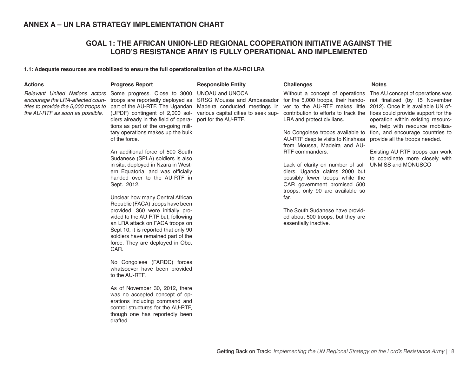# **ANNEX A – UN LRA STRATEGY IMPLEMENTATION CHART**

# **GOAL 1: THE AFRICAN UNION-LED REGIONAL COOPERATION INITIATIVE AGAINST THE LORD'S RESISTANCE ARMY IS FULLY OPERATIONAL AND IMPLEMENTED**

#### **1.1: Adequate resources are mobilized to ensure the full operationalization of the AU-RCI LRA**

| <b>Actions</b>                                                                                                                                | <b>Progress Report</b>                                                                                                                                                                                                                                                                                                                                                                                                                                                                                                                                                                                                                                                                                                                                                                                                                                                                                                                                                                                                                 | <b>Responsible Entity</b>                                                                                      | <b>Challenges</b>                                                                                                                                                                                                                                                                                                                                                                                                                                                                                                                                                                                                                                                                                                                 | <b>Notes</b>                                                                                                                                                                                                                                                                                                        |
|-----------------------------------------------------------------------------------------------------------------------------------------------|----------------------------------------------------------------------------------------------------------------------------------------------------------------------------------------------------------------------------------------------------------------------------------------------------------------------------------------------------------------------------------------------------------------------------------------------------------------------------------------------------------------------------------------------------------------------------------------------------------------------------------------------------------------------------------------------------------------------------------------------------------------------------------------------------------------------------------------------------------------------------------------------------------------------------------------------------------------------------------------------------------------------------------------|----------------------------------------------------------------------------------------------------------------|-----------------------------------------------------------------------------------------------------------------------------------------------------------------------------------------------------------------------------------------------------------------------------------------------------------------------------------------------------------------------------------------------------------------------------------------------------------------------------------------------------------------------------------------------------------------------------------------------------------------------------------------------------------------------------------------------------------------------------------|---------------------------------------------------------------------------------------------------------------------------------------------------------------------------------------------------------------------------------------------------------------------------------------------------------------------|
| Relevant United Nations actors<br>encourage the LRA-affected coun-<br>tries to provide the 5,000 troops to<br>the AU-RTF as soon as possible. | Some progress. Close to 3000<br>part of the AU-RTF. The Ugandan<br>(UPDF) contingent of 2,000 sol-<br>diers already in the field of opera-<br>tions as part of the on-going mili-<br>tary operations makes up the bulk<br>of the force.<br>An additional force of 500 South<br>Sudanese (SPLA) soldiers is also<br>in situ, deployed in Nzara in West-<br>ern Equatoria, and was officially<br>handed over to the AU-RTF in<br>Sept. 2012.<br>Unclear how many Central African<br>Republic (FACA) troops have been<br>provided. 360 were initially pro-<br>vided to the AU-RTF but, following<br>an LRA attack on FACA troops on<br>Sept 10, it is reported that only 90<br>soldiers have remained part of the<br>force. They are deployed in Obo,<br>CAR.<br>No Congolese (FARDC) forces<br>whatsoever have been provided<br>to the AU-RTF.<br>As of November 30, 2012, there<br>was no accepted concept of op-<br>erations including command and<br>control structures for the AU-RTF,<br>though one has reportedly been<br>drafted. | <b>UNOAU and UNOCA</b><br>troops are reportedly deployed as SRSG Moussa and Ambassador<br>port for the AU-RTF. | Without a concept of operations<br>for the 5,000 troops, their hando- not finalized (by 15 November<br>Madeira conducted meetings in ver to the AU-RTF makes little 2012). Once it is available UN of-<br>various capital cities to seek sup- contribution to efforts to track the<br>LRA and protect civilians.<br>No Congolese troops available to<br>AU-RTF despite visits to Kinshasa<br>from Moussa, Madeira and AU-<br>RTF commanders.<br>Lack of clarity on number of sol-<br>diers. Uganda claims 2000 but<br>possibly fewer troops while the<br>CAR government promised 500<br>troops, only 90 are available so<br>far.<br>The South Sudanese have provid-<br>ed about 500 troops, but they are<br>essentially inactive. | The AU concept of operations was<br>fices could provide support for the<br>operation within existing resourc-<br>es, help with resource mobiliza-<br>tion, and encourage countries to<br>provide all the troops needed.<br>Existing AU-RTF troops can work<br>to coordinate more closely with<br>UNMISS and MONUSCO |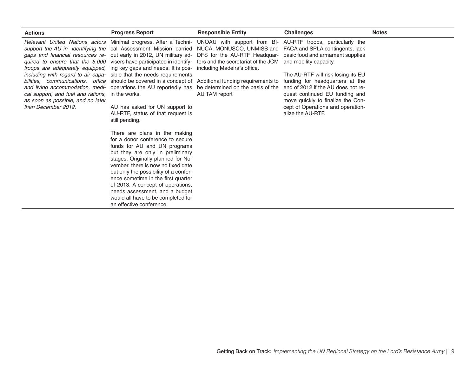| <b>Actions</b>                                                                                               | <b>Progress Report</b>                                                                                                                                                                                                                                                                                                                                                                                                                                                                                                                                                                                                                                                                                                                                                                                                                                                                                                                                                                                                                                                                                                                                                                                                                                                                                                                                                                                                                            | <b>Responsible Entity</b>                          | <b>Challenges</b>                                                                                                                                                                                                                   | <b>Notes</b> |
|--------------------------------------------------------------------------------------------------------------|---------------------------------------------------------------------------------------------------------------------------------------------------------------------------------------------------------------------------------------------------------------------------------------------------------------------------------------------------------------------------------------------------------------------------------------------------------------------------------------------------------------------------------------------------------------------------------------------------------------------------------------------------------------------------------------------------------------------------------------------------------------------------------------------------------------------------------------------------------------------------------------------------------------------------------------------------------------------------------------------------------------------------------------------------------------------------------------------------------------------------------------------------------------------------------------------------------------------------------------------------------------------------------------------------------------------------------------------------------------------------------------------------------------------------------------------------|----------------------------------------------------|-------------------------------------------------------------------------------------------------------------------------------------------------------------------------------------------------------------------------------------|--------------|
| cal support, and fuel and rations, in the works.<br>as soon as possible, and no later<br>than December 2012. | Relevant United Nations actors Minimal progress. After a Techni- UNOAU with support from BI- AU-RTF troops, particularly the<br>support the AU in identifying the cal Assessment Mission carried NUCA, MONUSCO, UNMISS and FACA and SPLA contingents, lack<br>gaps and financial resources re- out early in 2012, UN military ad- DFS for the AU-RTF Headquar- basic food and armament supplies<br>quired to ensure that the 5,000 visers have participated in identify- ters and the secretariat of the JCM<br><i>troops are adequately equipped</i> , ing key gaps and needs. It is pos- including Madeira's office.<br>including with regard to air capa- sible that the needs requirements<br>bilities, communications, office should be covered in a concept of Additional funding requirements to funding for headquarters at the<br>and living accommodation, medi- operations the AU reportedly has<br>AU has asked for UN support to<br>AU-RTF, status of that request is<br>still pending.<br>There are plans in the making<br>for a donor conference to secure<br>funds for AU and UN programs<br>but they are only in preliminary<br>stages. Originally planned for No-<br>vember, there is now no fixed date<br>but only the possibility of a confer-<br>ence sometime in the first quarter<br>of 2013. A concept of operations,<br>needs assessment, and a budget<br>would all have to be completed for<br>an effective conference. | be determined on the basis of the<br>AU TAM report | and mobility capacity.<br>The AU-RTF will risk losing its EU<br>end of 2012 if the AU does not re-<br>quest continued EU funding and<br>move quickly to finalize the Con-<br>cept of Operations and operation-<br>alize the AU-RTF. |              |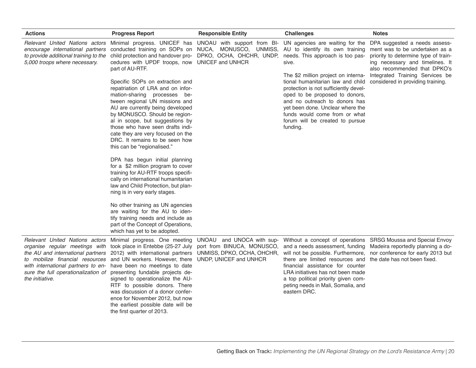| <b>Actions</b>                                                                                             | <b>Progress Report</b>                                                                                                                                                                                                                                                                                                                                                                                                                                                                                                                                                                                          | <b>Responsible Entity</b>                                                                                       | <b>Challenges</b>                                                                                                                                                                                                                                                                                                 | <b>Notes</b>                                                                                                                                                                                                                                       |
|------------------------------------------------------------------------------------------------------------|-----------------------------------------------------------------------------------------------------------------------------------------------------------------------------------------------------------------------------------------------------------------------------------------------------------------------------------------------------------------------------------------------------------------------------------------------------------------------------------------------------------------------------------------------------------------------------------------------------------------|-----------------------------------------------------------------------------------------------------------------|-------------------------------------------------------------------------------------------------------------------------------------------------------------------------------------------------------------------------------------------------------------------------------------------------------------------|----------------------------------------------------------------------------------------------------------------------------------------------------------------------------------------------------------------------------------------------------|
| encourage international partners<br>to provide additional training to the<br>5,000 troops where necessary. | Relevant United Nations actors Minimal progress. UNICEF has UNOAU with support from BI- UN agencies are waiting for the<br>conducted training on SOPs on NUCA, MONUSCO, UNMISS, AU to identify its own training<br>cedures with UPDF troops, now UNICEF and UNHCR<br>part of AU-RTF.<br>Specific SOPs on extraction and<br>repatriation of LRA and on infor-<br>mation-sharing processes be-<br>tween regional UN missions and<br>AU are currently being developed<br>by MONUSCO. Should be region-<br>al in scope, but suggestions by<br>those who have seen drafts indi-<br>cate they are very focused on the | child protection and handover pro- DPKO, OCHA, OHCHR, UNDP, needs. This approach is too pas-                    | sive.<br>The \$2 million project on interna-<br>tional humanitarian law and child<br>protection is not sufficiently devel-<br>oped to be proposed to donors,<br>and no outreach to donors has<br>vet been done. Unclear where the<br>funds would come from or what<br>forum will be created to pursue<br>funding. | DPA suggested a needs assess-<br>ment was to be undertaken as a<br>priority to determine type of train-<br>ing necessary and timelines. It<br>also recommended that DPKO's<br>Integrated Training Services be<br>considered in providing training. |
|                                                                                                            | DRC. It remains to be seen how<br>this can be "regionalised."<br>DPA has begun initial planning<br>for a \$2 million program to cover<br>training for AU-RTF troops specifi-<br>cally on international humanitarian<br>law and Child Protection, but plan-<br>ning is in very early stages.<br>No other training as UN agencies                                                                                                                                                                                                                                                                                 |                                                                                                                 |                                                                                                                                                                                                                                                                                                                   |                                                                                                                                                                                                                                                    |
|                                                                                                            | are waiting for the AU to iden-<br>tify training needs and include as<br>part of the Concept of Operations,<br>which has yet to be adopted.                                                                                                                                                                                                                                                                                                                                                                                                                                                                     |                                                                                                                 |                                                                                                                                                                                                                                                                                                                   |                                                                                                                                                                                                                                                    |
| the AU and international partners<br>the initiative.                                                       | Relevant United Nations actors Minimal progress. One meeting<br>organise regular meetings with took place in Entebbe (25-27 July<br>2012) with international partners<br>to mobilize financial resources and UN workers. However, there<br>with international partners to en- have been no meetings to date<br>sure the full operationalization of presenting fundable projects de-<br>signed to operationalize the AU-<br>RTF to possible donors. There<br>was discussion of a donor confer-<br>ence for November 2012, but now<br>the earliest possible date will be<br>the first quarter of 2013.            | UNOAU and UNOCA with sup-<br>port from BINUCA, MONUSCO,<br>UNMISS, DPKO, OCHA, OHCHR,<br>UNDP, UNICEF and UNHCR | Without a concept of operations<br>and a needs assessment, funding<br>will not be possible. Furthermore,<br>there are limited resources and<br>financial assistance for counter<br>LRA initiatives has not been made<br>a top political priority given com-<br>peting needs in Mali, Somalia, and<br>eastern DRC. | SRSG Moussa and Special Envoy<br>Madeira reportedly planning a do-<br>nor conference for early 2013 but<br>the date has not been fixed.                                                                                                            |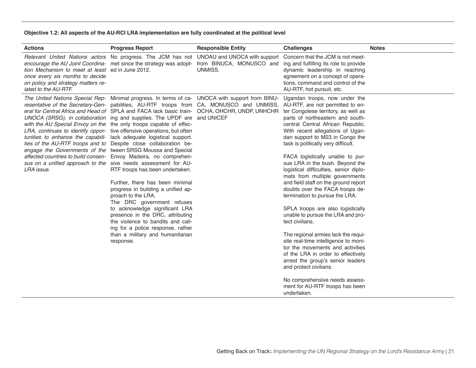#### **Objective 1.2: All aspects of the AU-RCI LRA implementation are fully coordinated at the political level**

| <b>Actions</b>                                                                                                                                    | <b>Progress Report</b>                                                                                                                                                                                                                                                                                                                                                                                                                                                                                                                                                                                                                                                                                                                                                                                                                                                                                                                    | <b>Responsible Entity</b>                                                                                                                                                                                                                                                                                                     | <b>Challenges</b>                                                                                                                                                                                                                                                                                                                                                                                                                                                                                                                                                                                                                                                                                                                                                                                                                                                                                                                    | <b>Notes</b> |
|---------------------------------------------------------------------------------------------------------------------------------------------------|-------------------------------------------------------------------------------------------------------------------------------------------------------------------------------------------------------------------------------------------------------------------------------------------------------------------------------------------------------------------------------------------------------------------------------------------------------------------------------------------------------------------------------------------------------------------------------------------------------------------------------------------------------------------------------------------------------------------------------------------------------------------------------------------------------------------------------------------------------------------------------------------------------------------------------------------|-------------------------------------------------------------------------------------------------------------------------------------------------------------------------------------------------------------------------------------------------------------------------------------------------------------------------------|--------------------------------------------------------------------------------------------------------------------------------------------------------------------------------------------------------------------------------------------------------------------------------------------------------------------------------------------------------------------------------------------------------------------------------------------------------------------------------------------------------------------------------------------------------------------------------------------------------------------------------------------------------------------------------------------------------------------------------------------------------------------------------------------------------------------------------------------------------------------------------------------------------------------------------------|--------------|
| tion Mechanism to meet at least ed in June 2012.<br>once every six months to decide<br>on policy and strategy matters re-<br>lated to the AU-RTF. |                                                                                                                                                                                                                                                                                                                                                                                                                                                                                                                                                                                                                                                                                                                                                                                                                                                                                                                                           | Relevant United Nations actors No progress. The JCM has not UNOAU and UNOCA with support<br>encourage the AU Joint Coordina- met since the strategy was adopt- from BINUCA, MONUSCO and<br>UNMISS.                                                                                                                            | Concern that the JCM is not meet-<br>ing and fulfilling its role to provide<br>dynamic leadership in reaching<br>agreement on a concept of opera-<br>tions, command and control of the<br>AU-RTF, hot pursuit, etc.                                                                                                                                                                                                                                                                                                                                                                                                                                                                                                                                                                                                                                                                                                                  |              |
| LRA issue.                                                                                                                                        | UNOCA (SRSG), in collaboration ing and supplies. The UPDF are and UNICEF<br>with the AU Special Envoy on the the only troops capable of effec-<br>LRA, continues to identify oppor- tive offensive operations, but often<br>tunities to enhance the capabili- lack adequate logistical support.<br>ties of the AU-RTF troops and to Despite close collaboration be-<br>engage the Governments of the tween SRSG Moussa and Special<br>affected countries to build consen- Envoy Madeira, no comprehen-<br>sus on a unified approach to the sive needs assessment for AU-<br>RTF troops has been undertaken.<br>Further, there has been minimal<br>progress in building a unified ap-<br>proach to the LRA.<br>The DRC government refuses<br>to acknowledge significant LRA<br>presence in the DRC, attributing<br>the violence to bandits and call-<br>ing for a police response, rather<br>than a military and humanitarian<br>response. | The United Nations Special Rep- Minimal progress. In terms of ca- UNOCA with support from BINU-<br>resentative of the Secretary-Gen- pabilities, AU-RTF troops from CA, MONUSCO and UNMISS, AU-RTF, are not permitted to en-<br>eral for Central Africa and Head of SPLA and FACA lack basic train- OCHA, OHCHR, UNDP, UNHCHR | Ugandan troops, now under the<br>ter Congolese territory, as well as<br>parts of northeastern and south-<br>central Central African Republic.<br>With recent allegations of Ugan-<br>dan support to M23 in Congo the<br>task is politically very difficult.<br>FACA logistically unable to pur-<br>sue LRA in the bush. Beyond the<br>logistical difficulties, senior diplo-<br>mats from multiple governments<br>and field staff on the ground report<br>doubts over the FACA troops de-<br>termination to pursue the LRA.<br>SPLA troops are also logistically<br>unable to pursue the LRA and pro-<br>tect civilians.<br>The regional armies lack the requi-<br>site real-time intelligence to moni-<br>tor the movements and activities<br>of the LRA in order to effectively<br>arrest the group's senior leaders<br>and protect civilians.<br>No comprehensive needs assess-<br>ment for AU-RTF troops has been<br>undertaken. |              |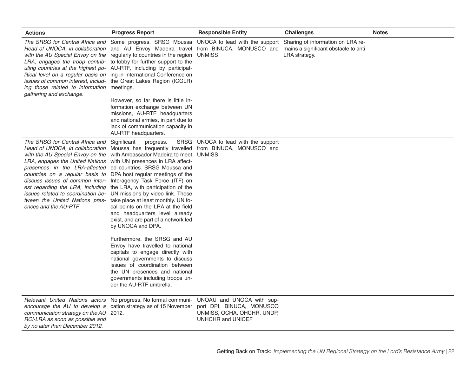| <b>Actions</b>                                                                                               | <b>Progress Report</b>                                                                                                                                                                                                                                                                                                                                                                                                                                                                                                                                                                                                                                                                                                                                                                                                                                                                                                                                                                                                                                                                            | <b>Responsible Entity</b>                                                           | <b>Challenges</b> | <b>Notes</b> |
|--------------------------------------------------------------------------------------------------------------|---------------------------------------------------------------------------------------------------------------------------------------------------------------------------------------------------------------------------------------------------------------------------------------------------------------------------------------------------------------------------------------------------------------------------------------------------------------------------------------------------------------------------------------------------------------------------------------------------------------------------------------------------------------------------------------------------------------------------------------------------------------------------------------------------------------------------------------------------------------------------------------------------------------------------------------------------------------------------------------------------------------------------------------------------------------------------------------------------|-------------------------------------------------------------------------------------|-------------------|--------------|
| ing those related to information meetings.<br>gathering and exchange.                                        | The SRSG for Central Africa and Some progress. SRSG Moussa UNOCA to lead with the support Sharing of information on LRA re-<br>Head of UNOCA, in collaboration and AU Envoy Madeira travel from BINUCA, MONUSCO and mains a significant obstacle to anti<br>with the AU Special Envoy on the regularly to countries in the region UNMISS<br>LRA, engages the troop contrib- to lobby for further support to the<br>uting countries at the highest po- AU-RTF, including by participat-<br>litical level on a regular basis on ing in International Conference on<br>issues of common interest, includ- the Great Lakes Region (ICGLR)<br>However, so far there is little in-                                                                                                                                                                                                                                                                                                                                                                                                                      |                                                                                     | LRA strategy.     |              |
|                                                                                                              | formation exchange between UN<br>missions, AU-RTF headquarters<br>and national armies, in part due to<br>lack of communication capacity in<br>AU-RTF headquarters.                                                                                                                                                                                                                                                                                                                                                                                                                                                                                                                                                                                                                                                                                                                                                                                                                                                                                                                                |                                                                                     |                   |              |
| The SRSG for Central Africa and Significant<br>ences and the AU-RTF.                                         | progress.<br>Head of UNOCA, in collaboration Moussa has frequently travelled from BINUCA, MONUSCO and<br>with the AU Special Envoy on the with Ambassador Madeira to meet UNMISS<br>LRA, engages the United Nations with UN presences in LRA affect-<br>presences in the LRA-affected ed countries. SRSG Moussa and<br>countries on a regular basis to DPA host regular meetings of the<br>discuss issues of common inter- Interagency Task Force (ITF) on<br>est regarding the LRA, including the LRA, with participation of the<br>issues related to coordination be- UN missions by video link. These<br>tween the United Nations pres- take place at least monthly. UN fo-<br>cal points on the LRA at the field<br>and headquarters level already<br>exist, and are part of a network led<br>by UNOCA and DPA.<br>Furthermore, the SRSG and AU<br>Envoy have travelled to national<br>capitals to engage directly with<br>national governments to discuss<br>issues of coordination between<br>the UN presences and national<br>governments including troops un-<br>der the AU-RTF umbrella. | SRSG UNOCA to lead with the support                                                 |                   |              |
| communication strategy on the AU 2012.<br>RCI-LRA as soon as possible and<br>by no later than December 2012. | <i>Relevant United Nations actors</i> No progress. No formal communi- UNOAU and UNOCA with sup-<br>encourage the AU to develop a cation strategy as of 15 November                                                                                                                                                                                                                                                                                                                                                                                                                                                                                                                                                                                                                                                                                                                                                                                                                                                                                                                                | port DPI, BINUCA, MONUSCO<br>UNMISS, OCHA, OHCHR, UNDP,<br><b>UNHCHR and UNICEF</b> |                   |              |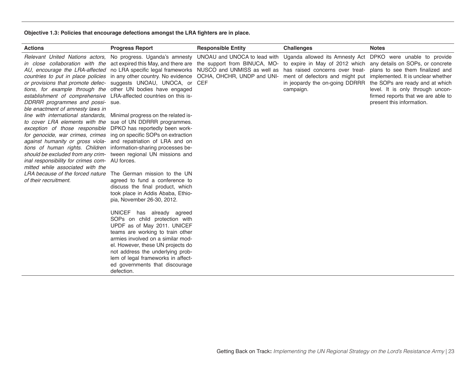#### **Objective 1.3: Policies that encourage defections amongst the LRA fighters are in place.**

| <b>Actions</b>                                                                                                                                                                                                                                    | <b>Progress Report</b>                                                                                                                                                                                                                                                                                                                                                                                                                                                                                                                                                                                                                                                                                                                                                                                                                                                                                                                                                                                                                                                                                                                                                                                                                                                                                                                                                                                                                                                                                                                                                                                                                                                                                                                                                         | <b>Responsible Entity</b> | <b>Challenges</b> | <b>Notes</b>                                                                                                                                                                                                                                   |
|---------------------------------------------------------------------------------------------------------------------------------------------------------------------------------------------------------------------------------------------------|--------------------------------------------------------------------------------------------------------------------------------------------------------------------------------------------------------------------------------------------------------------------------------------------------------------------------------------------------------------------------------------------------------------------------------------------------------------------------------------------------------------------------------------------------------------------------------------------------------------------------------------------------------------------------------------------------------------------------------------------------------------------------------------------------------------------------------------------------------------------------------------------------------------------------------------------------------------------------------------------------------------------------------------------------------------------------------------------------------------------------------------------------------------------------------------------------------------------------------------------------------------------------------------------------------------------------------------------------------------------------------------------------------------------------------------------------------------------------------------------------------------------------------------------------------------------------------------------------------------------------------------------------------------------------------------------------------------------------------------------------------------------------------|---------------------------|-------------------|------------------------------------------------------------------------------------------------------------------------------------------------------------------------------------------------------------------------------------------------|
| DDRRR programmes and possi- sue.<br>ble enactment of amnesty laws in<br>to cover LRA elements with the sue of UN DDRRR programmes.<br>inal responsibility for crimes com- AU forces.<br>mitted while associated with the<br>of their recruitment. | Relevant United Nations actors, No progress. Uganda's amnesty UNOAU and UNOCA to lead with Uganda allowed its Amnesty Act DPKO were unable to provide<br>in close collaboration with the actexpired this May, and there are the support from BINUCA, MO- to expire in May of 2012 which any details on SOPs, or concrete<br>AU, encourage the LRA-affected no LRA specific legal frameworks NUSCO and UNMISS as well as has raised concerns over treat-<br>countries to put in place policies in any other country. No evidence OCHA, OHCHR, UNDP and UNI- ment of defectors and might put<br>or provisions that promote defec- suggests UNOAU, UNOCA, or CEF<br>tions, for example through the other UN bodies have engaged<br>establishment of comprehensive LRA-affected countries on this is-<br>line with international standards, Minimal progress on the related is-<br>exception of those responsible DPKO has reportedly been work-<br>for genocide, war crimes, crimes ing on specific SOPs on extraction<br>against humanity or gross viola- and repatriation of LRA and on<br>tions of human rights. Children information-sharing processes be-<br>should be excluded from any crim- tween regional UN missions and<br>LRA because of the forced nature The German mission to the UN<br>agreed to fund a conference to<br>discuss the final product, which<br>took place in Addis Ababa, Ethio-<br>pia, November 26-30, 2012.<br>UNICEF has already agreed<br>SOPs on child protection with<br>UPDF as of May 2011. UNICEF<br>teams are working to train other<br>armies involved on a similar mod-<br>el. However, these UN projects do<br>not address the underlying prob-<br>lem of legal frameworks in affect-<br>ed governments that discourage<br>defection. |                           | campaign.         | plans to see them finalized and<br>implemented. It is unclear whether<br>in jeopardy the on-going DDRRR the SOPs are ready and at which<br>level. It is only through uncon-<br>firmed reports that we are able to<br>present this information. |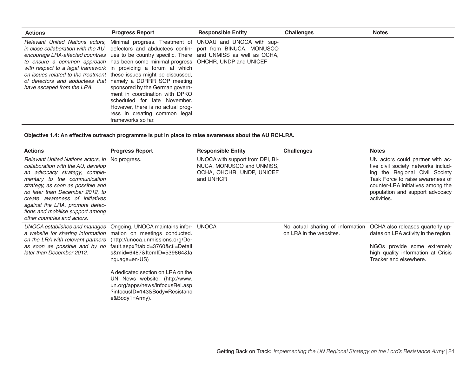| <b>Actions</b>             | <b>Progress Report</b>                                                                                                                                                                                                                                                                                                                                                                                                                                                                                                                                                                                                                                                                                                                                                                    | <b>Responsible Entity</b> | <b>Challenges</b> | <b>Notes</b> |
|----------------------------|-------------------------------------------------------------------------------------------------------------------------------------------------------------------------------------------------------------------------------------------------------------------------------------------------------------------------------------------------------------------------------------------------------------------------------------------------------------------------------------------------------------------------------------------------------------------------------------------------------------------------------------------------------------------------------------------------------------------------------------------------------------------------------------------|---------------------------|-------------------|--------------|
| have escaped from the LRA. | Relevant United Nations actors, Minimal progress. Treatment of UNOAU and UNOCA with sup-<br>in close collaboration with the AU, defectors and abductees contin- port from BINUCA, MONUSCO<br>encourage LRA-affected countries ues to be country specific. There and UNMISS as well as OCHA,<br>to ensure a common approach has been some minimal progress OHCHR, UNDP and UNICEF<br>with respect to a legal framework in providing a forum at which<br>on issues related to the treatment these issues might be discussed.<br>of defectors and abductees that namely a DDRRR SOP meeting<br>sponsored by the German govern-<br>ment in coordination with DPKO<br>scheduled for late November.<br>However, there is no actual prog-<br>ress in creating common legal<br>frameworks so far. |                           |                   |              |

**Objective 1.4: An effective outreach programme is put in place to raise awareness about the AU RCI-LRA.**

| <b>Actions</b>                                                                                                                                                                                                                                                                                                                                                          | <b>Progress Report</b>                                                                                                                                                                                                                                                                                                 | <b>Responsible Entity</b>                                                                               | <b>Challenges</b>                                           | <b>Notes</b>                                                                                                                                                                                                                         |
|-------------------------------------------------------------------------------------------------------------------------------------------------------------------------------------------------------------------------------------------------------------------------------------------------------------------------------------------------------------------------|------------------------------------------------------------------------------------------------------------------------------------------------------------------------------------------------------------------------------------------------------------------------------------------------------------------------|---------------------------------------------------------------------------------------------------------|-------------------------------------------------------------|--------------------------------------------------------------------------------------------------------------------------------------------------------------------------------------------------------------------------------------|
| Relevant United Nations actors, in No progress.<br>collaboration with the AU, develop<br>an advocacy strategy, comple-<br>mentary to the communication<br>strategy, as soon as possible and<br>no later than December 2012, to<br>create awareness of initiatives<br>against the LRA, promote defec-<br>tions and mobilise support among<br>other countries and actors. |                                                                                                                                                                                                                                                                                                                        | UNOCA with support from DPI, BI-<br>NUCA, MONUSCO and UNMISS,<br>OCHA, OHCHR, UNDP, UNICEF<br>and UNHCR |                                                             | UN actors could partner with ac-<br>tive civil society networks includ-<br>ing the Regional Civil Society<br>Task Force to raise awareness of<br>counter-LRA initiatives among the<br>population and support advocacy<br>activities. |
| UNOCA establishes and manages<br>a website for sharing information mation on meetings conducted.<br>on the LRA with relevant partners<br>as soon as possible and by no<br>later than December 2012.                                                                                                                                                                     | Ongoing. UNOCA maintains infor- UNOCA<br>(http://unoca.unmissions.org/De-<br>fault.aspx?tabid=3760&ctl=Detail<br>s∣=6487&ItemID=539864&la<br>nguage=en-US)<br>A dedicated section on LRA on the<br>UN News website. (http://www.<br>un.org/apps/news/infocusRel.asp<br>?infocusID=143&Body=Resistanc<br>e&Body1=Army). |                                                                                                         | No actual sharing of information<br>on LRA in the websites. | OCHA also releases quarterly up-<br>dates on LRA activity in the region.<br>NGOs provide some extremely<br>high quality information at Crisis<br>Tracker and elsewhere.                                                              |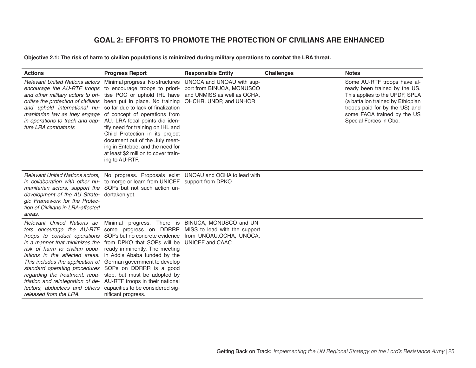# **GOAL 2: EFFORTS TO PROMOTE THE PROTECTION OF CIVILIANS ARE ENHANCED**

#### **Objective 2.1: The risk of harm to civilian populations is minimized during military operations to combat the LRA threat.**

| <b>Actions</b>                                                                                                              | <b>Progress Report</b>                                                                                                                                                                                                                                                                                                                                                                                                                                                                                                                                                                                                                                                                                                                                                                                                            | <b>Responsible Entity</b>                                                                                       | <b>Challenges</b> | <b>Notes</b>                                                                                                                                                                                                                   |
|-----------------------------------------------------------------------------------------------------------------------------|-----------------------------------------------------------------------------------------------------------------------------------------------------------------------------------------------------------------------------------------------------------------------------------------------------------------------------------------------------------------------------------------------------------------------------------------------------------------------------------------------------------------------------------------------------------------------------------------------------------------------------------------------------------------------------------------------------------------------------------------------------------------------------------------------------------------------------------|-----------------------------------------------------------------------------------------------------------------|-------------------|--------------------------------------------------------------------------------------------------------------------------------------------------------------------------------------------------------------------------------|
| manitarian law as they engage<br>ture LRA combatants                                                                        | Relevant United Nations actors Minimal progress. No structures<br>encourage the AU-RTF troops to encourage troops to priori-<br>and other military actors to pri- tise POC or uphold IHL have<br>oritise the protection of civilians been put in place. No training<br>and uphold international hu-so far due to lack of finalization<br>of concept of operations from<br>in operations to track and cap- AU. LRA focal points did iden-<br>tify need for training on IHL and<br>Child Protection in its project<br>document out of the July meet-<br>ing in Entebbe, and the need for<br>at least \$2 million to cover train-<br>ing to AU-RTF.                                                                                                                                                                                  | UNOCA and UNOAU with sup-<br>port from BINUCA, MONUSCO<br>and UNMISS as well as OCHA,<br>OHCHR, UNDP, and UNHCR |                   | Some AU-RTF troops have al-<br>ready been trained by the US.<br>This applies to the UPDF, SPLA<br>(a battalion trained by Ethiopian<br>troops paid for by the US) and<br>some FACA trained by the US<br>Special Forces in Obo. |
| development of the AU Strate- dertaken yet.<br>gic Framework for the Protec-<br>tion of Civilians in LRA-affected<br>areas. | Relevant United Nations actors, No progress. Proposals exist UNOAU and OCHA to lead with<br>in collaboration with other hu- to merge or learn from UNICEF support from DPKO<br>manitarian actors, support the SOPs but not such action un-                                                                                                                                                                                                                                                                                                                                                                                                                                                                                                                                                                                        |                                                                                                                 |                   |                                                                                                                                                                                                                                |
| released from the LRA.                                                                                                      | Relevant United Nations ac- Minimal progress. There is BINUCA, MONUSCO and UN-<br>tors encourage the AU-RTF some progress on DDRRR MISS to lead with the support<br><i>troops to conduct operations</i> SOPs but no concrete evidence from UNOAU, OCHA, UNOCA,<br>in a manner that minimizes the from DPKO that SOPs will be UNICEF and CAAC<br>risk of harm to civilian popu- ready imminently. The meeting<br>lations in the affected areas. in Addis Ababa funded by the<br>This includes the application of German government to develop<br>standard operating procedures SOPs on DDRRR is a good<br>regarding the treatment, repa- step, but must be adopted by<br>triation and reintegration of de- AU-RTF troops in their national<br>fectors, abductees and others capacities to be considered sig-<br>nificant progress. |                                                                                                                 |                   |                                                                                                                                                                                                                                |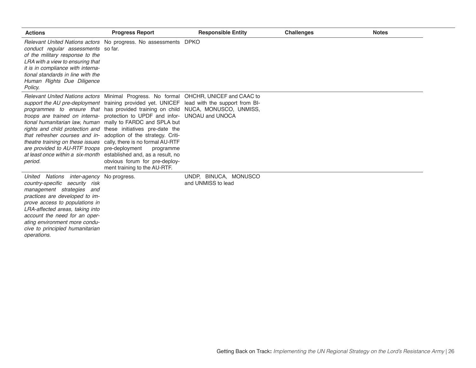| <b>Actions</b>                                                                                                                                                                                                                                                                                                        | <b>Progress Report</b>                                                                                                                                                                                                                                                                                                                                                                                                                                                                                                                                                                                                                                                                                           | <b>Responsible Entity</b>                   | <b>Challenges</b> | <b>Notes</b> |
|-----------------------------------------------------------------------------------------------------------------------------------------------------------------------------------------------------------------------------------------------------------------------------------------------------------------------|------------------------------------------------------------------------------------------------------------------------------------------------------------------------------------------------------------------------------------------------------------------------------------------------------------------------------------------------------------------------------------------------------------------------------------------------------------------------------------------------------------------------------------------------------------------------------------------------------------------------------------------------------------------------------------------------------------------|---------------------------------------------|-------------------|--------------|
| conduct regular assessments so far.<br>of the military response to the<br>LRA with a view to ensuring that<br>it is in compliance with interna-<br>tional standards in line with the<br>Human Rights Due Diligence<br>Policy.                                                                                         | Relevant United Nations actors No progress. No assessments DPKO                                                                                                                                                                                                                                                                                                                                                                                                                                                                                                                                                                                                                                                  |                                             |                   |              |
| that refresher courses and in-<br>are provided to AU-RTF troops pre-deployment<br>at least once within a six-month<br>period.                                                                                                                                                                                         | Relevant United Nations actors Minimal Progress. No formal OHCHR, UNICEF and CAAC to<br>support the AU pre-deployment training provided yet. UNICEF lead with the support from BI-<br>programmes to ensure that has provided training on child NUCA, MONUSCO, UNMISS,<br>troops are trained on interna- protection to UPDF and infor- UNOAU and UNOCA<br>tional humanitarian law, human mally to FARDC and SPLA but<br>rights and child protection and these initiatives pre-date the<br>adoption of the strategy. Criti-<br>theatre training on these issues cally, there is no formal AU-RTF<br>programme<br>established and, as a result, no<br>obvious forum for pre-deploy-<br>ment training to the AU-RTF. |                                             |                   |              |
| United Nations inter-agency<br>country-specific security risk<br>management strategies and<br>practices are developed to im-<br>prove access to populations in<br>LRA-affected areas, taking into<br>account the need for an oper-<br>ating environment more condu-<br>cive to principled humanitarian<br>operations. | No progress.                                                                                                                                                                                                                                                                                                                                                                                                                                                                                                                                                                                                                                                                                                     | UNDP, BINUCA, MONUSCO<br>and UNMISS to lead |                   |              |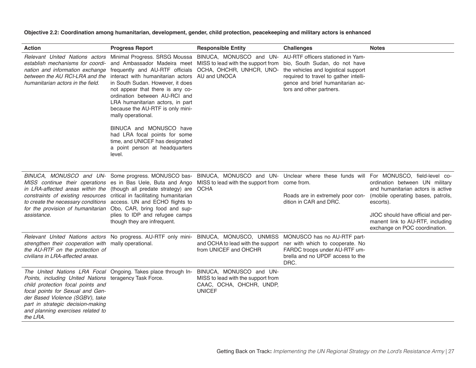**Objective 2.2: Coordination among humanitarian, development, gender, child protection, peacekeeping and military actors is enhanced**

| <b>Action</b>                                                                                                                                                                                                                                            | <b>Progress Report</b>                                                                                                                                                                                                                                                                                                                                                                                                                                                                                                                                                                                               | <b>Responsible Entity</b>                                                                                  | <b>Challenges</b>                                                                                                                                                             | <b>Notes</b>                                                                                                                                                                                                                     |
|----------------------------------------------------------------------------------------------------------------------------------------------------------------------------------------------------------------------------------------------------------|----------------------------------------------------------------------------------------------------------------------------------------------------------------------------------------------------------------------------------------------------------------------------------------------------------------------------------------------------------------------------------------------------------------------------------------------------------------------------------------------------------------------------------------------------------------------------------------------------------------------|------------------------------------------------------------------------------------------------------------|-------------------------------------------------------------------------------------------------------------------------------------------------------------------------------|----------------------------------------------------------------------------------------------------------------------------------------------------------------------------------------------------------------------------------|
| establish mechanisms for coordi-<br>nation and information exchange<br>between the AU RCI-LRA and the<br>humanitarian actors in the field.                                                                                                               | Relevant United Nations actors Minimal Progress. SRSG Moussa BINUCA, MONUSCO and UN- AU-RTF officers stationed in Yam-<br>frequently and AU-RTF officials<br>interact with humanitarian actors AU and UNOCA<br>in South Sudan. However, it does<br>not appear that there is any co-<br>ordination between AU-RCI and<br>LRA humanitarian actors, in part<br>because the AU-RTF is only mini-<br>mally operational.                                                                                                                                                                                                   | and Ambassador Madeira meet MISS to lead with the support from<br>OCHA, OHCHR, UNHCR, UNO-                 | bio, South Sudan, do not have<br>the vehicles and logistical support<br>required to travel to gather intelli-<br>gence and brief humanitarian ac-<br>tors and other partners. |                                                                                                                                                                                                                                  |
|                                                                                                                                                                                                                                                          | BINUCA and MONUSCO have<br>had LRA focal points for some<br>time, and UNICEF has designated<br>a point person at headquarters<br>level.                                                                                                                                                                                                                                                                                                                                                                                                                                                                              |                                                                                                            |                                                                                                                                                                               |                                                                                                                                                                                                                                  |
| assistance.                                                                                                                                                                                                                                              | BINUCA, MONUSCO and UN- Some progress. MONUSCO bas- BINUCA, MONUSCO and UN- Unclear where these funds will For MONUSCO, field-level co-<br>MISS continue their operations es in Bas Uele, Buta and Ango MISS to lead with the support from come from.<br>in LRA-affected areas within the (though all predate strategy) are OCHA<br>constraints of existing resources critical in facilitating humanitarian<br>to create the necessary conditions access. UN and ECHO flights to<br>for the provision of humanitarian Obo, CAR, bring food and sup-<br>plies to IDP and refugee camps<br>though they are infrequent. |                                                                                                            | Roads are in extremely poor con-<br>dition in CAR and DRC.                                                                                                                    | ordination between UN military<br>and humanitarian actors is active<br>(mobile operating bases, patrols,<br>escorts).<br>JIOC should have official and per-<br>manent link to AU-RTF, including<br>exchange on POC coordination. |
| strengthen their cooperation with mally operational.<br>the AU-RTF on the protection of<br>civilians in LRA-affected areas.                                                                                                                              | Relevant United Nations actors No progress. AU-RTF only mini- BINUCA, MONUSCO, UNMISS                                                                                                                                                                                                                                                                                                                                                                                                                                                                                                                                | from UNICEF and OHCHR                                                                                      | MONUSCO has no AU-RTF part-<br>and OCHA to lead with the support ner with which to cooperate. No<br>FARDC troops under AU-RTF um-<br>brella and no UPDF access to the<br>DRC. |                                                                                                                                                                                                                                  |
| Points, including United Nations teragency Task Force.<br>child protection focal points and<br>focal points for Sexual and Gen-<br>der Based Violence (SGBV), take<br>part in strategic decision-making<br>and planning exercises related to<br>the LRA. | The United Nations LRA Focal Ongoing. Takes place through In-                                                                                                                                                                                                                                                                                                                                                                                                                                                                                                                                                        | BINUCA, MONUSCO and UN-<br>MISS to lead with the support from<br>CAAC, OCHA, OHCHR, UNDP,<br><b>UNICEF</b> |                                                                                                                                                                               |                                                                                                                                                                                                                                  |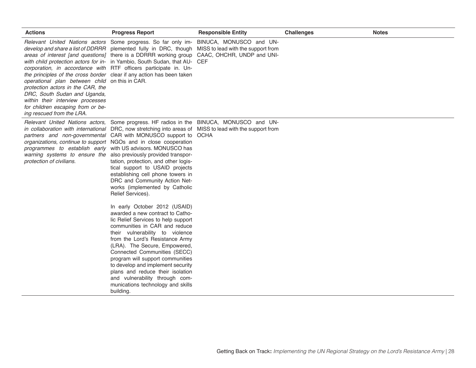| <b>Actions</b>                                                                                                                                                                                                            | <b>Progress Report</b>                                                                                                                                                                                                                                                                                                                                                                                                                                                                                                                                                                                           | <b>Responsible Entity</b> | <b>Challenges</b> | <b>Notes</b> |
|---------------------------------------------------------------------------------------------------------------------------------------------------------------------------------------------------------------------------|------------------------------------------------------------------------------------------------------------------------------------------------------------------------------------------------------------------------------------------------------------------------------------------------------------------------------------------------------------------------------------------------------------------------------------------------------------------------------------------------------------------------------------------------------------------------------------------------------------------|---------------------------|-------------------|--------------|
| operational plan between child on this in CAR.<br>protection actors in the CAR, the<br>DRC, South Sudan and Uganda,<br>within their interview processes<br>for children escaping from or be-<br>ing rescued from the LRA. | Relevant United Nations actors Some progress. So far only im- BINUCA, MONUSCO and UN-<br>develop and share a list of DDRRR plemented fully in DRC, though MISS to lead with the support from<br>areas of interest [and questions] there is a DDRRR working group CAAC, OHCHR, UNDP and UNI-<br>with child protection actors for in- in Yambio, South Sudan, that AU- CEF<br>corporation, in accordance with RTF officers participate in. Un-<br>the principles of the cross border clear if any action has been taken                                                                                            |                           |                   |              |
| organizations, continue to support NGOs and in close cooperation<br>protection of civilians.                                                                                                                              | Relevant United Nations actors, Some progress. HF radios in the BINUCA, MONUSCO and UN-<br>in collaboration with international DRC, now stretching into areas of MISS to lead with the support from<br>partners and non-governmental CAR with MONUSCO support to OCHA<br>programmes to establish early with US advisors. MONUSCO has<br>warning systems to ensure the also previously provided transpor-<br>tation, protection, and other logis-<br>tical support to USAID projects<br>establishing cell phone towers in<br>DRC and Community Action Net-<br>works (implemented by Catholic<br>Relief Services). |                           |                   |              |
|                                                                                                                                                                                                                           | In early October 2012 (USAID)<br>awarded a new contract to Catho-<br>lic Relief Services to help support<br>communities in CAR and reduce<br>their vulnerability to violence<br>from the Lord's Resistance Army<br>(LRA). The Secure, Empowered,<br>Connected Communities (SECC)<br>program will support communities<br>to develop and implement security<br>plans and reduce their isolation<br>and vulnerability through com-<br>munications technology and skills<br>building.                                                                                                                                |                           |                   |              |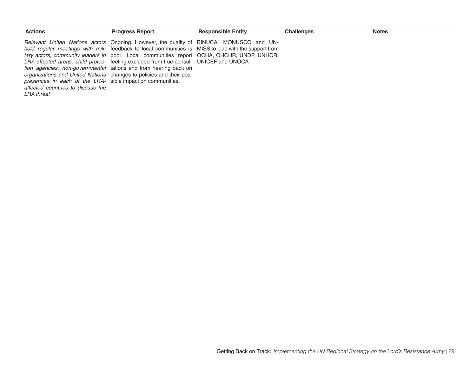| <b>Actions</b>                                                                                                | <b>Progress Report</b>                                                                                                                                                                                                                                                                                                                                                                                                                                                                                                                   | <b>Responsible Entity</b> | <b>Challenges</b> | <b>Notes</b> |
|---------------------------------------------------------------------------------------------------------------|------------------------------------------------------------------------------------------------------------------------------------------------------------------------------------------------------------------------------------------------------------------------------------------------------------------------------------------------------------------------------------------------------------------------------------------------------------------------------------------------------------------------------------------|---------------------------|-------------------|--------------|
| presences in each of the LRA- sible impact on communities.<br>affected countries to discuss the<br>LRA threat | Relevant United Nations actors Ongoing. However, the quality of BINUCA, MONUSCO and UN-<br>hold regular meetings with mili- feedback to local communities is MISS to lead with the support from<br>tary actors, community leaders in poor. Local communities report OCHA, OHCHR, UNDP, UNHCR,<br>LRA-affected areas, child protec- feeling excluded from true consul- UNICEF and UNOCA<br><i>tion agencies, non-governmental</i> tations and from hearing back on<br>organizations and United Nations changes to policies and their pos- |                           |                   |              |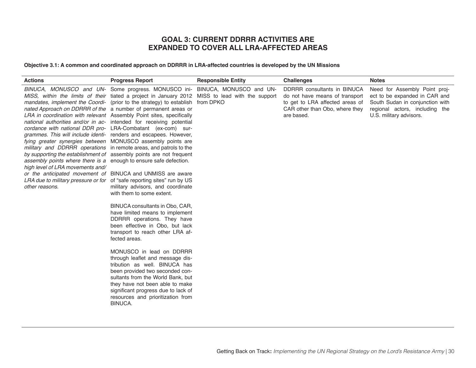# **GOAL 3: CURRENT DDRRR ACTIVITIES ARE EXPANDED TO COVER ALL LRA-AFFECTED AREAS**

**Objective 3.1: A common and coordinated approach on DDRRR in LRA-affected countries is developed by the UN Missions**

| <b>Actions</b>                                                                                                                                                                                                                                                   | <b>Progress Report</b>                                                                                                                                                                                                                                                                                                                                                                                                                                                                                                                                                                                                                                                                                                                                                                                                                                                                                                                                                                                                                                                                                                                                                                                                                                                                                                                                                                  | <b>Responsible Entity</b> | <b>Challenges</b>                                                                                                                                | <b>Notes</b>                                                                                                                                                   |
|------------------------------------------------------------------------------------------------------------------------------------------------------------------------------------------------------------------------------------------------------------------|-----------------------------------------------------------------------------------------------------------------------------------------------------------------------------------------------------------------------------------------------------------------------------------------------------------------------------------------------------------------------------------------------------------------------------------------------------------------------------------------------------------------------------------------------------------------------------------------------------------------------------------------------------------------------------------------------------------------------------------------------------------------------------------------------------------------------------------------------------------------------------------------------------------------------------------------------------------------------------------------------------------------------------------------------------------------------------------------------------------------------------------------------------------------------------------------------------------------------------------------------------------------------------------------------------------------------------------------------------------------------------------------|---------------------------|--------------------------------------------------------------------------------------------------------------------------------------------------|----------------------------------------------------------------------------------------------------------------------------------------------------------------|
| assembly points where there is a enough to ensure safe defection.<br>high level of LRA movements and/<br>or the anticipated movement of BINUCA and UNMISS are aware<br>LRA due to military pressure or for of "safe reporting sites" run by US<br>other reasons. | BINUCA, MONUSCO and UN- Some progress. MONUSCO ini- BINUCA, MONUSCO and UN-<br>MISS, within the limits of their tiated a project in January 2012 MISS to lead with the support<br>mandates, implement the Coordi- (prior to the strategy) to establish<br>nated Approach on DDRRR of the a number of permanent areas or<br>LRA in coordination with relevant Assembly Point sites, specifically<br>national authorities and/or in ac- intended for receiving potential<br>cordance with national DDR pro- LRA-Combatant (ex-com) sur-<br>grammes. This will include identi- renders and escapees. However,<br>fying greater synergies between MONUSCO assembly points are<br>military and DDRRR operations in remote areas, and patrols to the<br>by supporting the establishment of assembly points are not frequent<br>military advisors, and coordinate<br>with them to some extent.<br>BINUCA consultants in Obo, CAR,<br>have limited means to implement<br>DDRRR operations. They have<br>been effective in Obo, but lack<br>transport to reach other LRA af-<br>fected areas.<br>MONUSCO in lead on DDRRR<br>through leaflet and message dis-<br>tribution as well. BINUCA has<br>been provided two seconded con-<br>sultants from the World Bank, but<br>they have not been able to make<br>significant progress due to lack of<br>resources and prioritization from<br>BINUCA. | from DPKO                 | DDRRR consultants in BINUCA<br>do not have means of transport<br>to get to LRA affected areas of<br>CAR other than Obo, where they<br>are based. | Need for Assembly Point proj-<br>ect to be expanded in CAR and<br>South Sudan in conjunction with<br>regional actors, including the<br>U.S. military advisors. |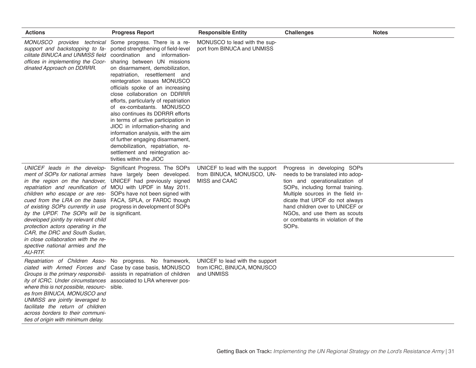| <b>Actions</b>                                                                                                                                                                                                                                                                                                                                                                                                                                                                                                                                                                                                                                                                                                        | <b>Progress Report</b>                                                                                                                                                                                                                                                                                                                                                                                                                                                                                                                                                                                                                                                           | <b>Responsible Entity</b>                                                     | <b>Challenges</b>                                                                                                                                                                                                                                                                                                                           | <b>Notes</b> |
|-----------------------------------------------------------------------------------------------------------------------------------------------------------------------------------------------------------------------------------------------------------------------------------------------------------------------------------------------------------------------------------------------------------------------------------------------------------------------------------------------------------------------------------------------------------------------------------------------------------------------------------------------------------------------------------------------------------------------|----------------------------------------------------------------------------------------------------------------------------------------------------------------------------------------------------------------------------------------------------------------------------------------------------------------------------------------------------------------------------------------------------------------------------------------------------------------------------------------------------------------------------------------------------------------------------------------------------------------------------------------------------------------------------------|-------------------------------------------------------------------------------|---------------------------------------------------------------------------------------------------------------------------------------------------------------------------------------------------------------------------------------------------------------------------------------------------------------------------------------------|--------------|
| MONUSCO provides technical<br>support and backstopping to fa-<br>cilitate BINUCA and UNMISS field<br>offices in implementing the Coor-<br>dinated Approach on DDRRR.                                                                                                                                                                                                                                                                                                                                                                                                                                                                                                                                                  | Some progress. There is a re-<br>ported strengthening of field-level<br>coordination and information-<br>sharing between UN missions<br>on disarmament, demobilization,<br>repatriation, resettlement and<br>reintegration issues MONUSCO<br>officials spoke of an increasing<br>close collaboration on DDRRR<br>efforts, particularly of repatriation<br>of ex-combatants. MONUSCO<br>also continues its DDRRR efforts<br>in terms of active participation in<br>JIOC in information-sharing and<br>information analysis, with the aim<br>of further engaging disarmament,<br>demobilization, repatriation, re-<br>settlement and reintegration ac-<br>tivities within the JIOC | MONUSCO to lead with the sup-<br>port from BINUCA and UNMISS                  |                                                                                                                                                                                                                                                                                                                                             |              |
| UNICEF leads in the develop- Significant Progress. The SOPs<br>ment of SOPs for national armies have largely been developed.<br>in the region on the handover, UNICEF had previously signed<br>repatriation and reunification of MOU with UPDF in May 2011.<br>children who escape or are res- SOPs have not been signed with<br>cued from the LRA on the basis FACA, SPLA, or FARDC though<br>of existing SOPs currently in use progress in development of SOPs<br>by the UPDF. The SOPs will be is significant.<br>developed jointly by relevant child<br>protection actors operating in the<br>CAR, the DRC and South Sudan,<br>in close collaboration with the re-<br>spective national armies and the<br>AU-RTF. |                                                                                                                                                                                                                                                                                                                                                                                                                                                                                                                                                                                                                                                                                  | UNICEF to lead with the support<br>from BINUCA, MONUSCO, UN-<br>MISS and CAAC | Progress in developing SOPs<br>needs to be translated into adop-<br>tion and operationalization of<br>SOPs, including formal training.<br>Multiple sources in the field in-<br>dicate that UPDF do not always<br>hand children over to UNICEF or<br>NGOs, and use them as scouts<br>or combatants in violation of the<br>SOP <sub>s</sub> . |              |
| Repatriation of Children Asso- No progress. No framework,<br>ciated with Armed Forces and Case by case basis, MONUSCO<br>Groups is the primary responsibil-<br>ity of ICRC. Under circumstances<br>where this is not possible, resourc- sible.<br>es from BINUCA, MONUSCO and<br>UNMISS are jointly leveraged to<br>facilitate the return of children<br>across borders to their communi-<br>ties of origin with minimum delay.                                                                                                                                                                                                                                                                                       | assists in repatriation of children<br>associated to LRA wherever pos-                                                                                                                                                                                                                                                                                                                                                                                                                                                                                                                                                                                                           | UNICEF to lead with the support<br>from ICRC, BINUCA, MONUSCO<br>and UNMISS   |                                                                                                                                                                                                                                                                                                                                             |              |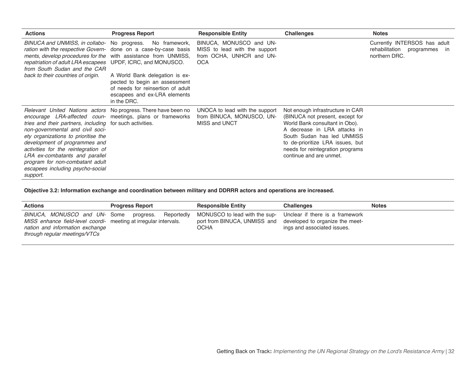| <b>Actions</b>                                                                                                                                                                                                                                                                                                                                                                                                                                                          | <b>Progress Report</b>                                                                                                                                                                                           | <b>Responsible Entity</b>                                                                          | <b>Challenges</b>                                                                                                                                                                                                                                                      | <b>Notes</b>                                                                        |
|-------------------------------------------------------------------------------------------------------------------------------------------------------------------------------------------------------------------------------------------------------------------------------------------------------------------------------------------------------------------------------------------------------------------------------------------------------------------------|------------------------------------------------------------------------------------------------------------------------------------------------------------------------------------------------------------------|----------------------------------------------------------------------------------------------------|------------------------------------------------------------------------------------------------------------------------------------------------------------------------------------------------------------------------------------------------------------------------|-------------------------------------------------------------------------------------|
| ration with the respective Govern- done on a case-by-case basis<br>ments, develop procedures for the with assistance from UNMISS,<br>repatriation of adult LRA escapees UPDF, ICRC, and MONUSCO.<br>from South Sudan and the CAR<br>back to their countries of origin.                                                                                                                                                                                                  | BINUCA and UNMISS, in collabo- No progress. No framework,<br>A World Bank delegation is ex-<br>pected to begin an assessment<br>of needs for reinsertion of adult<br>escapees and ex-LRA elements<br>in the DRC. | BINUCA, MONUSCO and UN-<br>MISS to lead with the support<br>from OCHA, UNHCR and UN-<br><b>OCA</b> |                                                                                                                                                                                                                                                                        | Currently INTERSOS has adult<br>rehabilitation<br>programmes<br>ın<br>northern DRC. |
| Relevant United Nations actors No progress. There have been no<br><i>encourage LRA-affected coun-</i> meetings, plans or frameworks<br>tries and their partners, including for such activities.<br>non-governmental and civil soci-<br>ety organizations to prioritise the<br>development of programmes and<br>activities for the reintegration of<br>LRA ex-combatants and parallel<br>program for non-combatant adult<br>escapees including psycho-social<br>support. |                                                                                                                                                                                                                  | UNOCA to lead with the support<br>from BINUCA, MONUSCO, UN-<br>MISS and UNCT                       | Not enough infrastructure in CAR<br>(BINUCA not present, except for<br>World Bank consultant in Obo).<br>A decrease in LRA attacks in<br>South Sudan has led UNMISS<br>to de-prioritize LRA issues, but<br>needs for reintegration programs<br>continue and are unmet. |                                                                                     |

**Objective 3.2: Information exchange and coordination between military and DDRRR actors and operations are increased.**

| <b>Actions</b>                                                                                                                                                       | <b>Progress Report</b>  | <b>Responsible Entity</b>                                                                                                             | <b>Challenges</b>           | <b>Notes</b> |
|----------------------------------------------------------------------------------------------------------------------------------------------------------------------|-------------------------|---------------------------------------------------------------------------------------------------------------------------------------|-----------------------------|--------------|
| BINUCA, MONUSCO and UN- Some<br>MISS enhance field-level coordi- meeting at irregular intervals.<br>nation and information exchange<br>through regular meetings/VTCs | Reportedly<br>progress. | MONUSCO to lead with the sup- Unclear if there is a framework<br>port from BINUCA, UNMISS and developed to organize the meet-<br>ОСНА | ings and associated issues. |              |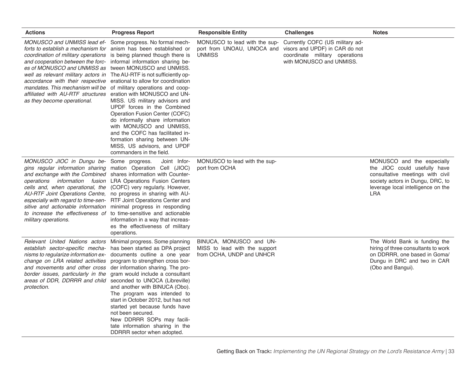| <b>Actions</b>                                                                                                                                                                                                                                                                                                                                                                                                                                                                                                                                                                                                                                                              | <b>Progress Report</b>                                                                                                                                                                                                                                                                                                                                                                                  | <b>Responsible Entity</b>                                                                                   | <b>Challenges</b>                                                                             | <b>Notes</b>                                                                                                                                                                           |
|-----------------------------------------------------------------------------------------------------------------------------------------------------------------------------------------------------------------------------------------------------------------------------------------------------------------------------------------------------------------------------------------------------------------------------------------------------------------------------------------------------------------------------------------------------------------------------------------------------------------------------------------------------------------------------|---------------------------------------------------------------------------------------------------------------------------------------------------------------------------------------------------------------------------------------------------------------------------------------------------------------------------------------------------------------------------------------------------------|-------------------------------------------------------------------------------------------------------------|-----------------------------------------------------------------------------------------------|----------------------------------------------------------------------------------------------------------------------------------------------------------------------------------------|
| MONUSCO and UNMISS lead ef- Some progress. No formal mech-<br>forts to establish a mechanism for anism has been established or<br>coordination of military operations is being planned though there is<br>and cooperation between the forc- informal information sharing be-<br>es of MONUSCO and UNMISS as tween MONUSCO and UNMISS.<br>well as relevant military actors in The AU-RTF is not sufficiently op-<br><i>accordance with their respective</i> erational to allow for coordination<br><i>mandates. This mechanism will be</i> of military operations and coop-<br>affiliated with AU-RTF structures eration with MONUSCO and UN-<br>as they become operational. | MISS. US military advisors and<br>UPDF forces in the Combined<br>Operation Fusion Center (COFC)<br>do informally share information<br>with MONUSCO and UNMISS,<br>and the COFC has facilitated in-<br>formation sharing between UN-<br>MISS, US advisors, and UPDF<br>commanders in the field.                                                                                                          | MONUSCO to lead with the sup-<br>port from UNOAU, UNOCA and visors and UPDF) in CAR do not<br><b>UNMISS</b> | Currently COFC (US military ad-<br>coordinate military operations<br>with MONUSCO and UNMISS. |                                                                                                                                                                                        |
| MONUSCO JIOC in Dungu be- Some progress.<br>gins regular information sharing mation Operation Cell (JIOC)<br>and exchange with the Combined shares information with Counter-<br><i>operations information fusion LRA Operations Fusion Centers</i><br>cells and, when operational, the (COFC) very regularly. However,<br>AU-RTF Joint Operations Centre, no progress in sharing with AU-<br>especially with regard to time-sen- RTF Joint Operations Center and<br>sitive and actionable information minimal progress in responding<br>to increase the effectiveness of to time-sensitive and actionable<br>military operations.                                           | Joint Infor-<br>information in a way that increas-<br>es the effectiveness of military<br>operations.                                                                                                                                                                                                                                                                                                   | MONUSCO to lead with the sup-<br>port from OCHA                                                             |                                                                                               | MONUSCO and the especially<br>the JIOC could usefully have<br>consultative meetings with civil<br>society actors in Dungu, DRC, to<br>leverage local intelligence on the<br><b>LRA</b> |
| Relevant United Nations actors Minimal progress. Some planning<br>establish sector-specific mecha- has been started as DPA project<br>nisms to regularize information ex- documents outline a one year<br>change on LRA related activities<br>and movements and other cross<br>border issues, particularly in the<br>areas of DDR, DDRRR and child<br>protection.                                                                                                                                                                                                                                                                                                           | program to strengthen cross bor-<br>der information sharing. The pro-<br>gram would include a consultant<br>seconded to UNOCA (Libreville)<br>and another with BINUCA (Obo).<br>The program was intended to<br>start in October 2012, but has not<br>started yet because funds have<br>not been secured.<br>New DDRRR SOPs may facili-<br>tate information sharing in the<br>DDRRR sector when adopted. | BINUCA, MONUSCO and UN-<br>MISS to lead with the support<br>from OCHA, UNDP and UNHCR                       |                                                                                               | The World Bank is funding the<br>hiring of three consultants to work<br>on DDRRR, one based in Goma/<br>Dungu in DRC and two in CAR<br>(Obo and Bangui).                               |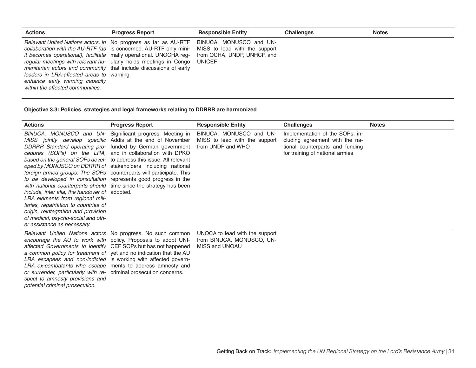| <b>Actions</b>                                                                                                                                                                                                                                                                                                                                                                                                                                                                               | <b>Progress Report</b> | <b>Responsible Entity</b>                                                                               | <b>Challenges</b> | <b>Notes</b> |
|----------------------------------------------------------------------------------------------------------------------------------------------------------------------------------------------------------------------------------------------------------------------------------------------------------------------------------------------------------------------------------------------------------------------------------------------------------------------------------------------|------------------------|---------------------------------------------------------------------------------------------------------|-------------------|--------------|
| <i>Relevant United Nations actors, in</i> No progress as far as AU-RTF<br><i>collaboration with the AU-RTF (as is concerned. AU-RTF only mini-</i><br><i>it becomes operational), facilitate</i> mally operational. UNOCHA reg-<br>regular meetings with relevant hu- ularly holds meetings in Congo<br>manitarian actors and community that include discussions of early<br>leaders in LRA-affected areas to warning.<br>enhance early warning capacity<br>within the affected communities. |                        | BINUCA, MONUSCO and UN-<br>MISS to lead with the support<br>from OCHA, UNDP, UNHCR and<br><b>UNICEF</b> |                   |              |

**Objective 3.3: Policies, strategies and legal frameworks relating to DDRRR are harmonized**

| <b>Actions</b>                                                                                                                                                                                                                                                                                                                                                                                                                                                                                                     | <b>Progress Report</b>                                                                                                                                                                                                                                                                                                   | <b>Responsible Entity</b>                                                     | <b>Challenges</b>                                                                                                                       | <b>Notes</b> |
|--------------------------------------------------------------------------------------------------------------------------------------------------------------------------------------------------------------------------------------------------------------------------------------------------------------------------------------------------------------------------------------------------------------------------------------------------------------------------------------------------------------------|--------------------------------------------------------------------------------------------------------------------------------------------------------------------------------------------------------------------------------------------------------------------------------------------------------------------------|-------------------------------------------------------------------------------|-----------------------------------------------------------------------------------------------------------------------------------------|--------------|
| oped by MONUSCO on DDRRR of stakeholders including national<br>foreign armed groups. The SOPs counterparts will participate. This<br>to be developed in consultation represents good progress in the<br>with national counterparts should time since the strategy has been<br>include, inter alia, the handover of adopted.<br>LRA elements from regional mili-<br>taries, repatriation to countries of<br>origin, reintegration and provision<br>of medical, psycho-social and oth-<br>er assistance as necessary | BINUCA, MONUSCO and UN- Significant progress. Meeting in<br>MISS jointly develop specific Addis at the end of November<br>DDRRR Standard operating pro- funded by German government<br>cedures (SOPs) on the LRA, and in collaboration with DPKO<br>based on the general SOPs devel- to address this issue. All relevant | BINUCA, MONUSCO and UN-<br>MISS to lead with the support<br>from UNDP and WHO | Implementation of the SOPs, in-<br>cluding agreement with the na-<br>tional counterparts and funding<br>for training of national armies |              |
| a common policy for treatment of yet and no indication that the AU<br>LRA escapees and non-indicted is working with affected govern-<br>or surrender, particularly with re- criminal prosecution concerns.<br>spect to amnesty provisions and<br>potential criminal prosecution.                                                                                                                                                                                                                                   | Relevant United Nations actors No progress. No such common<br>encourage the AU to work with policy. Proposals to adopt UNI-<br>affected Governments to identify CEF SOPs but has not happened<br>LRA ex-combatants who escape ments to address amnesty and                                                               | UNOCA to lead with the support<br>from BINUCA, MONUSCO, UN-<br>MISS and UNOAU |                                                                                                                                         |              |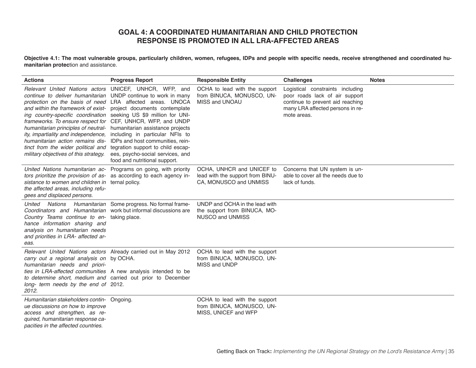# **GOAL 4: A COORDINATED HUMANITARIAN AND CHILD PROTECTION RESPONSE IS PROMOTED IN ALL LRA-AFFECTED AREAS**

**Objective 4.1: The most vulnerable groups, particularly children, women, refugees, IDPs and people with specific needs, receive strengthened and coordinated humanitarian protec**tion and assistance.

| <b>Actions</b>                                                                                                                                                                                                                                                                                                                                                                                                                                                                                                                                                                                                                  | <b>Progress Report</b>                                                                                                                                                        | <b>Responsible Entity</b>                                                                 | <b>Challenges</b>                                                                                                                                         | <b>Notes</b> |
|---------------------------------------------------------------------------------------------------------------------------------------------------------------------------------------------------------------------------------------------------------------------------------------------------------------------------------------------------------------------------------------------------------------------------------------------------------------------------------------------------------------------------------------------------------------------------------------------------------------------------------|-------------------------------------------------------------------------------------------------------------------------------------------------------------------------------|-------------------------------------------------------------------------------------------|-----------------------------------------------------------------------------------------------------------------------------------------------------------|--------------|
| Relevant United Nations actors UNICEF, UNHCR, WFP, and<br>continue to deliver humanitarian UNDP continue to work in many<br>protection on the basis of need LRA affected areas. UNOCA<br>and within the framework of exist- project documents contemplate<br>ing country-specific coordination seeking US \$9 million for UNI-<br>frameworks. To ensure respect for CEF, UNHCR, WFP, and UNDP<br>humanitarian principles of neutral- humanitarian assistance projects<br>ity, impartiality and independence,<br>humanitarian action remains dis-<br>tinct from the wider political and<br>military objectives of this strategy. | including in particular NFIs to<br>IDPs and host communities, rein-<br>tegration support to child escap-<br>ees, psycho-social services, and<br>food and nutritional support. | OCHA to lead with the support<br>from BINUCA, MONUSCO, UN-<br>MISS and UNOAU              | Logistical constraints including<br>poor roads lack of air support<br>continue to prevent aid reaching<br>many LRA affected persons in re-<br>mote areas. |              |
| United Nations humanitarian ac- Programs on going, with priority<br>tors prioritize the provision of as- as according to each agency in-<br>sistance to women and children in ternal policy.<br>the affected areas, including refu-<br>gees and displaced persons.                                                                                                                                                                                                                                                                                                                                                              |                                                                                                                                                                               | OCHA. UNHCR and UNICEF to<br>lead with the support from BINU-<br>CA, MONUSCO and UNMISS   | Concerns that UN system is un-<br>able to cover all the needs due to<br>lack of funds.                                                                    |              |
| Nations<br>United<br>Coordinators and Humanitarian work but informal discussions are<br>Country Teams continue to en- taking place.<br>hance information sharing and<br>analysis on humanitarian needs<br>and priorities in LRA- affected ar-<br>eas.                                                                                                                                                                                                                                                                                                                                                                           | Humanitarian Some progress. No formal frame-                                                                                                                                  | UNDP and OCHA in the lead with<br>the support from BINUCA, MO-<br><b>NUSCO and UNMISS</b> |                                                                                                                                                           |              |
| carry out a regional analysis on by OCHA.<br>humanitarian needs and priori-<br>ties in LRA-affected communities A new analysis intended to be<br>to determine short, medium and carried out prior to December<br>long- term needs by the end of 2012.<br>2012.                                                                                                                                                                                                                                                                                                                                                                  | Relevant United Nations actors Already carried out in May 2012                                                                                                                | OCHA to lead with the support<br>from BINUCA, MONUSCO, UN-<br>MISS and UNDP               |                                                                                                                                                           |              |
| Humanitarian stakeholders contin- Ongoing.<br>ue discussions on how to improve<br>access and strengthen, as re-<br>quired, humanitarian response ca-<br>pacities in the affected countries.                                                                                                                                                                                                                                                                                                                                                                                                                                     |                                                                                                                                                                               | OCHA to lead with the support<br>from BINUCA, MONUSCO, UN-<br>MISS, UNICEF and WFP        |                                                                                                                                                           |              |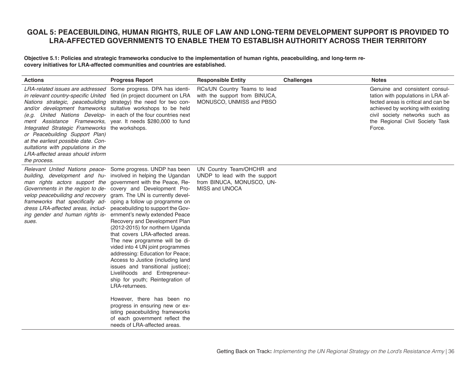# **GOAL 5: PEACEBUILDING, HUMAN RIGHTS, RULE OF LAW AND LONG-TERM DEVELOPMENT SUPPORT IS PROVIDED TO LRA-AFFECTED GOVERNMENTS TO ENABLE THEM TO ESTABLISH AUTHORITY ACROSS THEIR TERRITORY**

**Objective 5.1: Policies and strategic frameworks conducive to the implementation of human rights, peacebuilding, and long-term recovery initiatives for LRA-affected communities and countries are established.**

| <b>Actions</b>                                                                                                                                                                                                                                                                                                                                                                                                                                                                                                                                                                                                                       | <b>Progress Report</b>                                                                                                                                                                                                                                                                                                                                                                                                                                                                                                                                                                   | <b>Responsible Entity</b>                                                                                 | <b>Challenges</b> | <b>Notes</b>                                                                                                                                                                                                                    |
|--------------------------------------------------------------------------------------------------------------------------------------------------------------------------------------------------------------------------------------------------------------------------------------------------------------------------------------------------------------------------------------------------------------------------------------------------------------------------------------------------------------------------------------------------------------------------------------------------------------------------------------|------------------------------------------------------------------------------------------------------------------------------------------------------------------------------------------------------------------------------------------------------------------------------------------------------------------------------------------------------------------------------------------------------------------------------------------------------------------------------------------------------------------------------------------------------------------------------------------|-----------------------------------------------------------------------------------------------------------|-------------------|---------------------------------------------------------------------------------------------------------------------------------------------------------------------------------------------------------------------------------|
| LRA-related issues are addressed Some progress. DPA has identi-<br>in relevant country-specific United fied (in project document on LRA<br>Nations strategic, peacebuilding strategy) the need for two con-<br>and/or development frameworks sultative workshops to be held<br>(e.g. United Nations Develop- in each of the four countries next<br>ment Assistance Frameworks, year. It needs \$280,000 to fund<br>Integrated Strategic Frameworks the workshops.<br>or Peacebuilding Support Plan)<br>at the earliest possible date. Con-<br>sultations with populations in the<br>LRA-affected areas should inform<br>the process. |                                                                                                                                                                                                                                                                                                                                                                                                                                                                                                                                                                                          | RCs/UN Country Teams to lead<br>with the support from BINUCA,<br>MONUSCO, UNMISS and PBSO                 |                   | Genuine and consistent consul-<br>tation with populations in LRA af-<br>fected areas is critical and can be<br>achieved by working with existing<br>civil society networks such as<br>the Regional Civil Society Task<br>Force. |
| Relevant United Nations peace- Some progress. UNDP has been<br>building, development and hu- involved in helping the Ugandan<br>man rights actors support the government with the Peace, Re-<br>Governments in the region to de- covery and Development Pro-<br>velop peacebuilidng and recovery gram. The UN is currently devel-<br>frameworks that specifically ad- oping a follow up programme on<br>dress LRA-affected areas, includ-<br>ing gender and human rights is- ernment's newly extended Peace<br>sues.                                                                                                                 | peacebuilding to support the Gov-<br>Recovery and Development Plan<br>(2012-2015) for northern Uganda<br>that covers LRA-affected areas.<br>The new programme will be di-<br>vided into 4 UN joint programmes<br>addressing: Education for Peace;<br>Access to Justice (including land<br>issues and transitional justice);<br>Livelihoods and Entrepreneur-<br>ship for youth; Reintegration of<br>LRA-returnees.<br>However, there has been no<br>progress in ensuring new or ex-<br>isting peacebuilding frameworks<br>of each government reflect the<br>needs of LRA-affected areas. | UN Country Team/OHCHR and<br>UNDP to lead with the support<br>from BINUCA, MONUSCO, UN-<br>MISS and UNOCA |                   |                                                                                                                                                                                                                                 |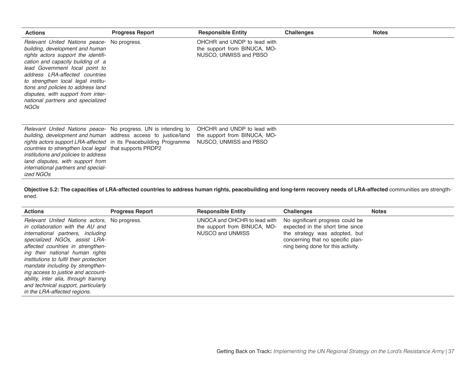| <b>Actions</b>                                                                                                                                                                                                                                                                                                                                                                                        | <b>Progress Report</b>                                          | <b>Responsible Entity</b>                                                             | <b>Challenges</b> | <b>Notes</b> |
|-------------------------------------------------------------------------------------------------------------------------------------------------------------------------------------------------------------------------------------------------------------------------------------------------------------------------------------------------------------------------------------------------------|-----------------------------------------------------------------|---------------------------------------------------------------------------------------|-------------------|--------------|
| Relevant United Nations peace - No progress.<br>building, development and human<br>rights actors support the identifi-<br>cation and capacity building of a<br>lead Government focal point to<br>address LRA-affected countries<br>to strengthen local legal institu-<br>tions and policies to address land<br>disputes, with support from inter-<br>national partners and specialized<br><b>NGOs</b> |                                                                 | OHCHR and UNDP to lead with<br>the support from BINUCA, MO-<br>NUSCO, UNMISS and PBSO |                   |              |
| building, development and human address access to justice/land<br>rights actors support LRA-affected in its Peacebuilding Programme<br>countries to strengthen local legal that supports PRDP2<br>institutions and policies to address<br>land disputes, with support from<br>international partners and special-<br>ized NGOs                                                                        | Relevant United Nations peace - No progress. UN is intending to | OHCHR and UNDP to lead with<br>the support from BINUCA, MO-<br>NUSCO, UNMISS and PBSO |                   |              |

**Objective 5.2: The capacities of LRA-affected countries to address human rights, peacebuilding and long-term recovery needs of LRA-affected** communities are strengthened.

| <b>Actions</b>                                                                                                                                                                                                                                                                                                                                                                                                                                                      | <b>Progress Report</b> | <b>Responsible Entity</b>                                                        | <b>Challenges</b>                                                                                                                                                                | <b>Notes</b> |
|---------------------------------------------------------------------------------------------------------------------------------------------------------------------------------------------------------------------------------------------------------------------------------------------------------------------------------------------------------------------------------------------------------------------------------------------------------------------|------------------------|----------------------------------------------------------------------------------|----------------------------------------------------------------------------------------------------------------------------------------------------------------------------------|--------------|
| Relevant United Nations actors, No progress.<br>in collaboration with the AU and<br>international partners, including<br>specialized NGOs, assist LRA-<br>affected countries in strengthen-<br>ing their national human rights<br>institutions to fulfil their protection<br>mandate including by strengthen-<br>ing access to justice and account-<br>ability, inter alia, through training<br>and technical support, particularly<br>in the LRA-affected regions. |                        | UNOCA and OHCHR to lead with<br>the support from BINUCA, MO-<br>NUSCO and UNMISS | No significant progress could be<br>expected in the short time since<br>the strategy was adopted, but<br>concerning that no specific plan-<br>ning being done for this activity. |              |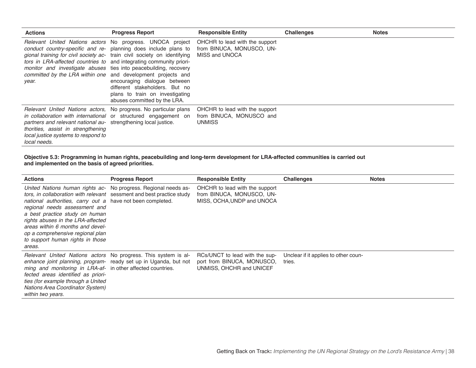| <b>Actions</b>                                                                                                                                                                                                                  | <b>Progress Report</b>                                                                                                                                                                                                                                                                                                                                                       | <b>Responsible Entity</b>                                                   | <b>Challenges</b> | <b>Notes</b> |
|---------------------------------------------------------------------------------------------------------------------------------------------------------------------------------------------------------------------------------|------------------------------------------------------------------------------------------------------------------------------------------------------------------------------------------------------------------------------------------------------------------------------------------------------------------------------------------------------------------------------|-----------------------------------------------------------------------------|-------------------|--------------|
| tors in LRA-affected countries to and integrating community priori-<br>monitor and investigate abuses ties into peacebuilding, recovery<br>committed by the LRA within one and development projects and<br>year.                | Relevant United Nations actors No progress. UNOCA project OHCHR to lead with the support<br>conduct country-specific and re- planning does include plans to<br>gional training for civil society ac- train civil society on identifying<br>encouraging dialogue between<br>different stakeholders. But no<br>plans to train on investigating<br>abuses committed by the LRA. | from BINUCA, MONUSCO, UN-<br>MISS and UNOCA                                 |                   |              |
| in collaboration with international or structured engagement on<br>partners and relevant national au- strengthening local justice.<br>thorities, assist in strengthening<br>local justice systems to respond to<br>local needs. | Relevant United Nations actors, No progress. No particular plans                                                                                                                                                                                                                                                                                                             | OHCHR to lead with the support<br>from BINUCA, MONUSCO and<br><b>UNMISS</b> |                   |              |

#### **Objective 5.3: Programming in human rights, peacebuilding and long-term development for LRA-affected communities is carried out and implemented on the basis of agreed priorities.**

| <b>Actions</b>                                                                                                                                                                                                                                                                                                                                                                                                                       | <b>Progress Report</b>                                           | <b>Responsible Entity</b>                                                                 | <b>Challenges</b>                              | <b>Notes</b> |
|--------------------------------------------------------------------------------------------------------------------------------------------------------------------------------------------------------------------------------------------------------------------------------------------------------------------------------------------------------------------------------------------------------------------------------------|------------------------------------------------------------------|-------------------------------------------------------------------------------------------|------------------------------------------------|--------------|
| United Nations human rights ac- No progress. Regional needs as-<br>tors, in collaboration with relevant sessment and best practice study<br>national authorities, carry out a have not been completed.<br>regional needs assessment and<br>a best practice study on human<br>rights abuses in the LRA-affected<br>areas within 6 months and devel-<br>op a comprehensive regional plan<br>to support human rights in those<br>areas. |                                                                  | OHCHR to lead with the support<br>from BINUCA, MONUSCO, UN-<br>MISS, OCHA, UNDP and UNOCA |                                                |              |
| Relevant United Nations actors No progress. This system is al-<br>ming and monitoring in LRA-af- in other affected countries.<br>fected areas identified as priori-<br>ties (for example through a United<br><b>Nations Area Coordinator System)</b><br>within two years.                                                                                                                                                            | enhance joint planning, program- ready set up in Uganda, but not | RCs/UNCT to lead with the sup-<br>port from BINUCA, MONUSCO,<br>UNMISS, OHCHR and UNICEF  | Unclear if it applies to other coun-<br>tries. |              |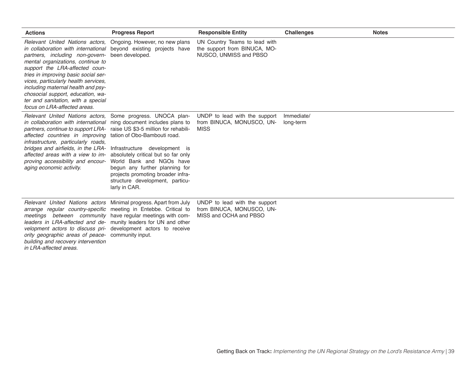| <b>Actions</b>                                                                                                                                                                                                                                                                                                                                                                                                                                                                                                                | <b>Progress Report</b>                                                                                                                                  | <b>Responsible Entity</b>                                                               | <b>Challenges</b>       | <b>Notes</b> |
|-------------------------------------------------------------------------------------------------------------------------------------------------------------------------------------------------------------------------------------------------------------------------------------------------------------------------------------------------------------------------------------------------------------------------------------------------------------------------------------------------------------------------------|---------------------------------------------------------------------------------------------------------------------------------------------------------|-----------------------------------------------------------------------------------------|-------------------------|--------------|
| Relevant United Nations actors, Ongoing. However, no new plans<br>in collaboration with international beyond existing projects have<br>partners, including non-govern-<br>mental organizations, continue to<br>support the LRA-affected coun-<br>tries in improving basic social ser-<br>vices, particularly health services,<br>including maternal health and psy-<br>chosocial support, education, wa-<br>ter and sanitation, with a special<br>focus on LRA-affected areas.                                                | been developed.                                                                                                                                         | UN Country Teams to lead with<br>the support from BINUCA, MO-<br>NUSCO, UNMISS and PBSO |                         |              |
| Relevant United Nations actors, Some progress. UNOCA plan-<br>in collaboration with international ning document includes plans to<br>partners, continue to support LRA- raise US \$3-5 million for rehabili-<br>affected countries in improving<br>infrastructure, particularly roads,<br>bridges and airfields, in the LRA- Infrastructure development is<br>affected areas with a view to im- absolutely critical but so far only<br>proving accessibility and encour- World Bank and NGOs have<br>aging economic activity. | tation of Obo-Bambouti road.<br>begun any further planning for<br>projects promoting broader infra-<br>structure development, particu-<br>larly in CAR. | UNDP to lead with the support<br>from BINUCA, MONUSCO, UN-<br><b>MISS</b>               | Immediate/<br>long-term |              |
| Relevant United Nations actors Minimal progress. Apart from July<br>arrange regular country-specific meeting in Entebbe. Critical to<br>meetings between community have regular meetings with com-<br>leaders in LRA-affected and de- munity leaders for UN and other<br>velopment actors to discuss pri- development actors to receive<br>ority geographic areas of peace- community input.<br>building and recovery intervention<br>in LRA-affected areas.                                                                  |                                                                                                                                                         | UNDP to lead with the support<br>from BINUCA, MONUSCO, UN-<br>MISS and OCHA and PBSO    |                         |              |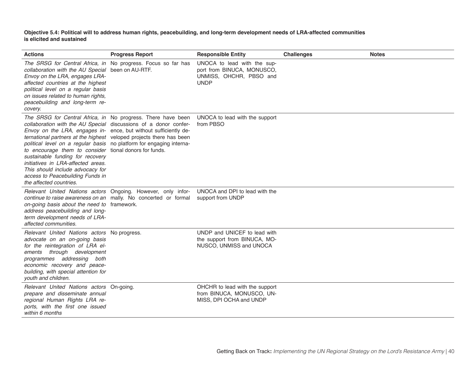**Objective 5.4: Political will to address human rights, peacebuilding, and long-term development needs of LRA-affected communities is elicited and sustained**

| <b>Actions</b>                                                                                                                                                                                                                                                                                                                                                                                                                                                                                                             | <b>Progress Report</b>                                          | <b>Responsible Entity</b>                                                                           | <b>Challenges</b> | <b>Notes</b> |
|----------------------------------------------------------------------------------------------------------------------------------------------------------------------------------------------------------------------------------------------------------------------------------------------------------------------------------------------------------------------------------------------------------------------------------------------------------------------------------------------------------------------------|-----------------------------------------------------------------|-----------------------------------------------------------------------------------------------------|-------------------|--------------|
| The SRSG for Central Africa, in No progress. Focus so far has<br>collaboration with the AU Special been on AU-RTF.<br>Envoy on the LRA, engages LRA-<br>affected countries at the highest<br>political level on a regular basis<br>on issues related to human rights,<br>peacebuilding and long-term re-<br>covery.                                                                                                                                                                                                        |                                                                 | UNOCA to lead with the sup-<br>port from BINUCA, MONUSCO,<br>UNMISS, OHCHR, PBSO and<br><b>UNDP</b> |                   |              |
| collaboration with the AU Special discussions of a donor confer-<br>Envoy on the LRA, engages in- ence, but without sufficiently de-<br>ternational partners at the highest veloped projects there has been<br>political level on a regular basis no platform for engaging interna-<br>to encourage them to consider tional donors for funds.<br>sustainable funding for recovery<br>initiatives in LRA-affected areas.<br>This should include advocacy for<br>access to Peacebuilding Funds in<br>the affected countries. | The SRSG for Central Africa, in No progress. There have been    | UNOCA to lead with the support<br>from PBSO                                                         |                   |              |
| Relevant United Nations actors Ongoing. However, only infor-<br>on-going basis about the need to framework.<br>address peacebuilding and long-<br>term development needs of LRA-<br>affected communities.                                                                                                                                                                                                                                                                                                                  | continue to raise awareness on an mally. No concerted or formal | UNOCA and DPI to lead with the<br>support from UNDP                                                 |                   |              |
| Relevant United Nations actors No progress.<br>advocate on an on-going basis<br>for the reintegration of LRA el-<br>ements through development<br>programmes addressing both<br>economic recovery and peace-<br>building, with special attention for<br>youth and children.                                                                                                                                                                                                                                                |                                                                 | UNDP and UNICEF to lead with<br>the support from BINUCA, MO-<br>NUSCO, UNMISS and UNOCA             |                   |              |
| Relevant United Nations actors On-going.<br>prepare and disseminate annual<br>regional Human Rights LRA re-<br>ports, with the first one issued<br>within 6 months                                                                                                                                                                                                                                                                                                                                                         |                                                                 | OHCHR to lead with the support<br>from BINUCA, MONUSCO, UN-<br>MISS, DPI OCHA and UNDP              |                   |              |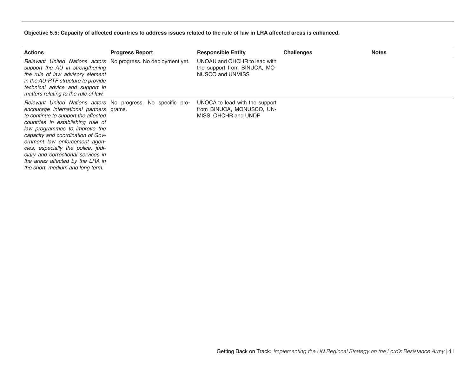#### **Objective 5.5: Capacity of affected countries to address issues related to the rule of law in LRA affected areas is enhanced.**

| <b>Actions</b>                                                                                                                                                                                                                                                                                                                                                                                                                                 | <b>Progress Report</b> | <b>Responsible Entity</b>                                                           | <b>Challenges</b> | <b>Notes</b> |
|------------------------------------------------------------------------------------------------------------------------------------------------------------------------------------------------------------------------------------------------------------------------------------------------------------------------------------------------------------------------------------------------------------------------------------------------|------------------------|-------------------------------------------------------------------------------------|-------------------|--------------|
| Relevant United Nations actors No progress. No deployment yet.<br>support the AU in strengthening<br>the rule of law advisory element<br>in the AU-RTF structure to provide<br>technical advice and support in<br>matters relating to the rule of law.                                                                                                                                                                                         |                        | UNOAU and OHCHR to lead with<br>the support from BINUCA, MO-<br>NUSCO and UNMISS    |                   |              |
| Relevant United Nations actors No progress. No specific pro-<br>encourage international partners grams.<br>to continue to support the affected<br>countries in establishing rule of<br>law programmes to improve the<br>capacity and coordination of Gov-<br>ernment law enforcement agen-<br>cies, especially the police, judi-<br>ciary and correctional services in<br>the areas affected by the LRA in<br>the short, medium and long term. |                        | UNOCA to lead with the support<br>from BINUCA, MONUSCO, UN-<br>MISS, OHCHR and UNDP |                   |              |